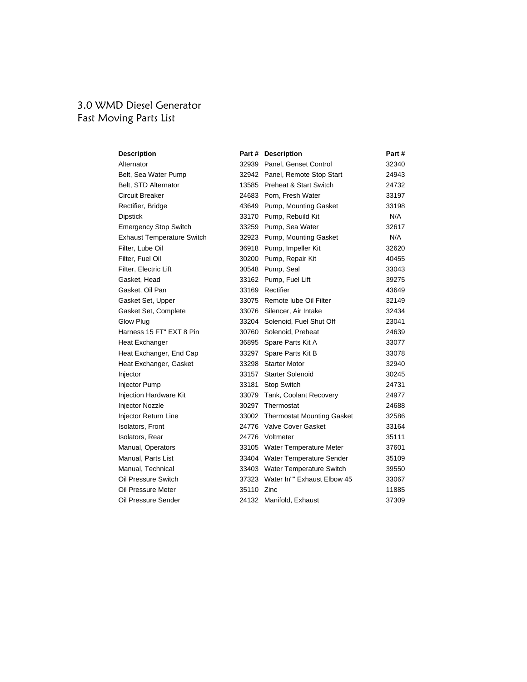#### 3.0 WMD Diesel Generator Fast Moving Parts List

| <b>Description</b>                |            | Part # Description                | Part# |
|-----------------------------------|------------|-----------------------------------|-------|
| Alternator                        |            | 32939 Panel, Genset Control       | 32340 |
| Belt, Sea Water Pump              |            | 32942 Panel, Remote Stop Start    | 24943 |
| Belt, STD Alternator              |            | 13585 Preheat & Start Switch      | 24732 |
| Circuit Breaker                   |            | 24683 Porn, Fresh Water           | 33197 |
| Rectifier, Bridge                 |            | 43649 Pump, Mounting Gasket       | 33198 |
| <b>Dipstick</b>                   |            | 33170 Pump, Rebuild Kit           | N/A   |
| <b>Emergency Stop Switch</b>      |            | 33259 Pump, Sea Water             | 32617 |
| <b>Exhaust Temperature Switch</b> |            | 32923 Pump, Mounting Gasket       | N/A   |
| Filter, Lube Oil                  |            | 36918 Pump, Impeller Kit          | 32620 |
| Filter, Fuel Oil                  |            | 30200 Pump, Repair Kit            | 40455 |
| Filter, Electric Lift             |            | 30548 Pump, Seal                  | 33043 |
| Gasket, Head                      |            | 33162 Pump, Fuel Lift             | 39275 |
| Gasket, Oil Pan                   |            | 33169 Rectifier                   | 43649 |
| Gasket Set, Upper                 |            | 33075 Remote lube Oil Filter      | 32149 |
| Gasket Set, Complete              |            | 33076 Silencer, Air Intake        | 32434 |
| Glow Plug                         |            | 33204 Solenoid, Fuel Shut Off     | 23041 |
| Harness 15 FT" EXT 8 Pin          |            | 30760 Solenoid, Preheat           | 24639 |
| Heat Exchanger                    |            | 36895 Spare Parts Kit A           | 33077 |
| Heat Exchanger, End Cap           |            | 33297 Spare Parts Kit B           | 33078 |
| Heat Exchanger, Gasket            |            | 33298 Starter Motor               | 32940 |
| Injector                          | 33157      | <b>Starter Solenoid</b>           | 30245 |
| Injector Pump                     | 33181      | Stop Switch                       | 24731 |
| Injection Hardware Kit            |            | 33079 Tank, Coolant Recovery      | 24977 |
| <b>Injector Nozzle</b>            | 30297      | Thermostat                        | 24688 |
| Injector Return Line              |            | 33002 Thermostat Mounting Gasket  | 32586 |
| Isolators, Front                  |            | 24776 Valve Cover Gasket          | 33164 |
| Isolators, Rear                   |            | 24776 Voltmeter                   | 35111 |
| Manual, Operators                 |            | 33105 Water Temperature Meter     | 37601 |
| Manual, Parts List                |            | 33404 Water Temperature Sender    | 35109 |
| Manual, Technical                 |            | 33403 Water Temperature Switch    | 39550 |
| Oil Pressure Switch               |            | 37323 Water In"" Exhaust Elbow 45 | 33067 |
| Oil Pressure Meter                | 35110 Zinc |                                   | 11885 |
| Oil Pressure Sender               |            | 24132 Manifold, Exhaust           | 37309 |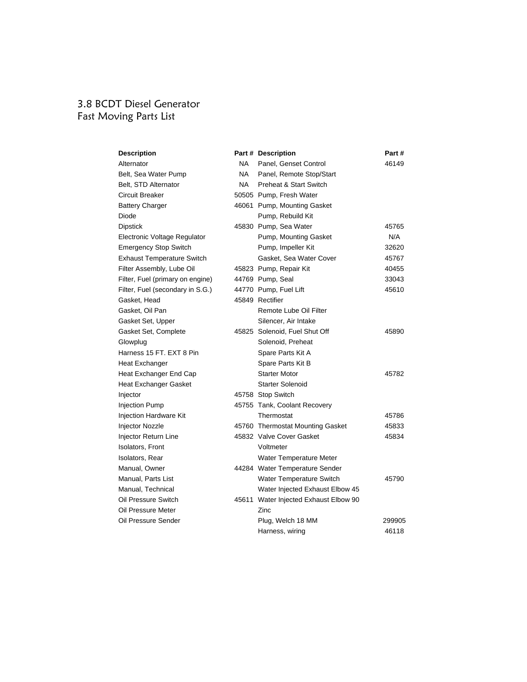## 3.8 BCDT Diesel Generator Fast Moving Parts List

| <b>Description</b>                |           | Part # Description                    | Part#  |
|-----------------------------------|-----------|---------------------------------------|--------|
| Alternator                        | NA L      | Panel, Genset Control                 | 46149  |
| Belt, Sea Water Pump              | <b>NA</b> | Panel, Remote Stop/Start              |        |
| Belt, STD Alternator              | <b>NA</b> | Preheat & Start Switch                |        |
| Circuit Breaker                   |           | 50505 Pump, Fresh Water               |        |
| Battery Charger                   |           | 46061 Pump, Mounting Gasket           |        |
| Diode                             |           | Pump, Rebuild Kit                     |        |
| Dipstick                          |           | 45830 Pump, Sea Water                 | 45765  |
| Electronic Voltage Regulator      |           | Pump, Mounting Gasket                 | N/A    |
| <b>Emergency Stop Switch</b>      |           | Pump, Impeller Kit                    | 32620  |
| <b>Exhaust Temperature Switch</b> |           | Gasket, Sea Water Cover               | 45767  |
| Filter Assembly, Lube Oil         |           | 45823 Pump, Repair Kit                | 40455  |
| Filter, Fuel (primary on engine)  |           | 44769 Pump, Seal                      | 33043  |
| Filter, Fuel (secondary in S.G.)  |           | 44770 Pump, Fuel Lift                 | 45610  |
| Gasket, Head                      |           | 45849 Rectifier                       |        |
| Gasket, Oil Pan                   |           | Remote Lube Oil Filter                |        |
| Gasket Set, Upper                 |           | Silencer, Air Intake                  |        |
| Gasket Set, Complete              |           | 45825 Solenoid, Fuel Shut Off         | 45890  |
| Glowplug                          |           | Solenoid, Preheat                     |        |
| Harness 15 FT. EXT 8 Pin          |           | Spare Parts Kit A                     |        |
| Heat Exchanger                    |           | Spare Parts Kit B                     |        |
| Heat Exchanger End Cap            |           | <b>Starter Motor</b>                  | 45782  |
| Heat Exchanger Gasket             |           | <b>Starter Solenoid</b>               |        |
| Injector                          |           | 45758 Stop Switch                     |        |
| <b>Injection Pump</b>             |           | 45755 Tank, Coolant Recovery          |        |
| <b>Injection Hardware Kit</b>     |           | Thermostat                            | 45786  |
| <b>Injector Nozzle</b>            |           | 45760 Thermostat Mounting Gasket      | 45833  |
| Injector Return Line              |           | 45832 Valve Cover Gasket              | 45834  |
| <b>Isolators, Front</b>           |           | Voltmeter                             |        |
| Isolators, Rear                   |           | Water Temperature Meter               |        |
| Manual, Owner                     |           | 44284 Water Temperature Sender        |        |
| Manual, Parts List                |           | Water Temperature Switch              | 45790  |
| Manual, Technical                 |           | Water Injected Exhaust Elbow 45       |        |
| Oil Pressure Switch               |           | 45611 Water Injected Exhaust Elbow 90 |        |
| Oil Pressure Meter                |           | Zinc                                  |        |
| Oil Pressure Sender               |           | Plug, Welch 18 MM                     | 299905 |
|                                   |           | Harness, wiring                       | 46118  |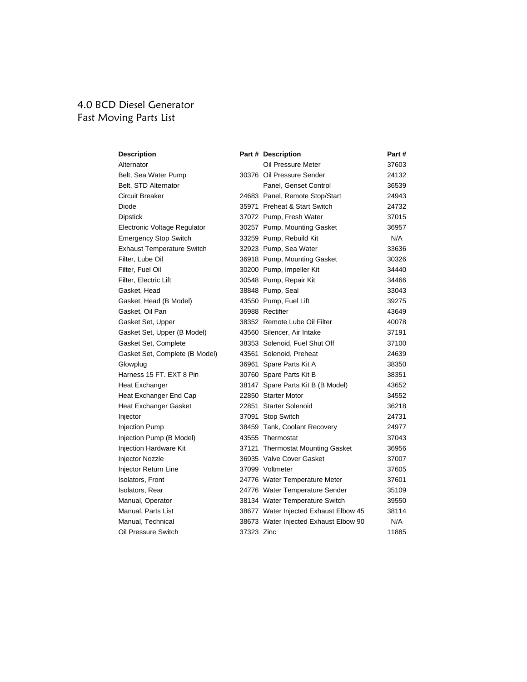## 4.0 BCD Diesel Generator Fast Moving Parts List

| <b>Description</b>                |            | Part # Description                    | Part # |
|-----------------------------------|------------|---------------------------------------|--------|
| Alternator                        |            | Oil Pressure Meter                    | 37603  |
| Belt, Sea Water Pump              |            | 30376 Oil Pressure Sender             | 24132  |
| Belt, STD Alternator              |            | Panel, Genset Control                 | 36539  |
| <b>Circuit Breaker</b>            |            | 24683 Panel, Remote Stop/Start        | 24943  |
| Diode                             |            | 35971 Preheat & Start Switch          | 24732  |
| <b>Dipstick</b>                   |            | 37072 Pump, Fresh Water               | 37015  |
| Electronic Voltage Regulator      |            | 30257 Pump, Mounting Gasket           | 36957  |
| <b>Emergency Stop Switch</b>      |            | 33259 Pump, Rebuild Kit               | N/A    |
| <b>Exhaust Temperature Switch</b> |            | 32923 Pump, Sea Water                 | 33636  |
| Filter, Lube Oil                  |            | 36918 Pump, Mounting Gasket           | 30326  |
| Filter, Fuel Oil                  |            | 30200 Pump, Impeller Kit              | 34440  |
| Filter, Electric Lift             |            | 30548 Pump, Repair Kit                | 34466  |
| Gasket, Head                      |            | 38848 Pump, Seal                      | 33043  |
| Gasket, Head (B Model)            |            | 43550 Pump, Fuel Lift                 | 39275  |
| Gasket, Oil Pan                   |            | 36988 Rectifier                       | 43649  |
| Gasket Set, Upper                 |            | 38352 Remote Lube Oil Filter          | 40078  |
| Gasket Set, Upper (B Model)       |            | 43560 Silencer, Air Intake            | 37191  |
| Gasket Set, Complete              |            | 38353 Solenoid, Fuel Shut Off         | 37100  |
| Gasket Set, Complete (B Model)    |            | 43561 Solenoid, Preheat               | 24639  |
| Glowplug                          |            | 36961 Spare Parts Kit A               | 38350  |
| Harness 15 FT, EXT 8 Pin          |            | 30760 Spare Parts Kit B               | 38351  |
| Heat Exchanger                    |            | 38147 Spare Parts Kit B (B Model)     | 43652  |
| Heat Exchanger End Cap            |            | 22850 Starter Motor                   | 34552  |
| Heat Exchanger Gasket             |            | 22851 Starter Solenoid                | 36218  |
| Injector                          |            | 37091 Stop Switch                     | 24731  |
| <b>Injection Pump</b>             |            | 38459 Tank, Coolant Recovery          | 24977  |
| Injection Pump (B Model)          |            | 43555 Thermostat                      | 37043  |
| Injection Hardware Kit            |            | 37121 Thermostat Mounting Gasket      | 36956  |
| <b>Injector Nozzle</b>            |            | 36935 Valve Cover Gasket              | 37007  |
| Injector Return Line              |            | 37099 Voltmeter                       | 37605  |
| <b>Isolators, Front</b>           |            | 24776 Water Temperature Meter         | 37601  |
| Isolators, Rear                   |            | 24776 Water Temperature Sender        | 35109  |
| Manual, Operator                  |            | 38134 Water Temperature Switch        | 39550  |
| Manual, Parts List                |            | 38677 Water Injected Exhaust Elbow 45 | 38114  |
| Manual, Technical                 |            | 38673 Water Injected Exhaust Elbow 90 | N/A    |
| Oil Pressure Switch               | 37323 Zinc |                                       | 11885  |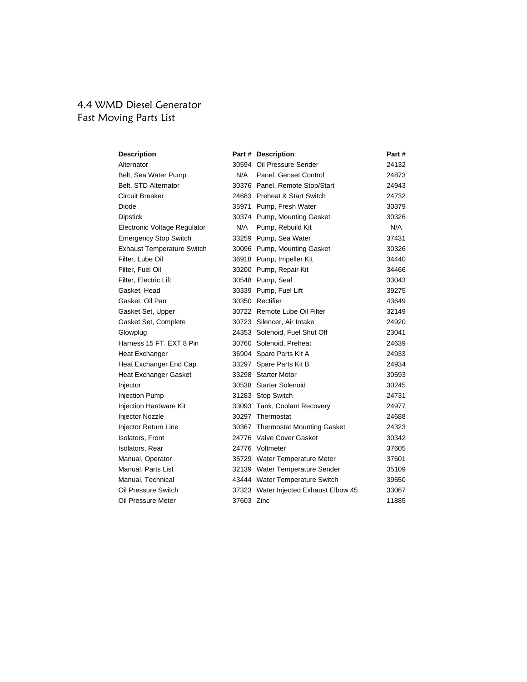# 4.4 WMD Diesel Generator Fast Moving Parts List

| <b>Description</b>                |            | Part # Description                    | Part # |
|-----------------------------------|------------|---------------------------------------|--------|
| Alternator                        |            | 30594 Oil Pressure Sender             | 24132  |
| Belt, Sea Water Pump              | N/A        | Panel, Genset Control                 | 24873  |
| Belt, STD Alternator              |            | 30376 Panel, Remote Stop/Start        | 24943  |
| Circuit Breaker                   |            | 24683 Preheat & Start Switch          | 24732  |
| Diode                             |            | 35971 Pump, Fresh Water               | 30379  |
| <b>Dipstick</b>                   |            | 30374 Pump, Mounting Gasket           | 30326  |
| Electronic Voltage Regulator      | N/A        | Pump, Rebuild Kit                     | N/A    |
| <b>Emergency Stop Switch</b>      |            | 33259 Pump, Sea Water                 | 37431  |
| <b>Exhaust Temperature Switch</b> |            | 30096 Pump, Mounting Gasket           | 30326  |
| Filter, Lube Oil                  |            | 36918 Pump, Impeller Kit              | 34440  |
| Filter, Fuel Oil                  |            | 30200 Pump, Repair Kit                | 34466  |
| Filter, Electric Lift             |            | 30548 Pump, Seal                      | 33043  |
| Gasket, Head                      |            | 30339 Pump, Fuel Lift                 | 39275  |
| Gasket, Oil Pan                   |            | 30350 Rectifier                       | 43649  |
| Gasket Set, Upper                 |            | 30722 Remote Lube Oil Filter          | 32149  |
| Gasket Set, Complete              |            | 30723 Silencer, Air Intake            | 24920  |
| Glowplug                          |            | 24353 Solenoid, Fuel Shut Off         | 23041  |
| Harness 15 FT, EXT 8 Pin          |            | 30760 Solenoid, Preheat               | 24639  |
| <b>Heat Exchanger</b>             |            | 36904 Spare Parts Kit A               | 24933  |
| Heat Exchanger End Cap            |            | 33297 Spare Parts Kit B               | 24934  |
| <b>Heat Exchanger Gasket</b>      |            | 33298 Starter Motor                   | 30593  |
| Injector                          |            | 30538 Starter Solenoid                | 30245  |
| <b>Injection Pump</b>             |            | 31283 Stop Switch                     | 24731  |
| Injection Hardware Kit            |            | 33093 Tank, Coolant Recovery          | 24977  |
| <b>Injector Nozzle</b>            |            | 30297 Thermostat                      | 24688  |
| Injector Return Line              |            | 30367 Thermostat Mounting Gasket      | 24323  |
| Isolators, Front                  |            | 24776 Valve Cover Gasket              | 30342  |
| Isolators, Rear                   |            | 24776 Voltmeter                       | 37605  |
| Manual, Operator                  |            | 35729 Water Temperature Meter         | 37601  |
| Manual, Parts List                |            | 32139 Water Temperature Sender        | 35109  |
| Manual, Technical                 |            | 43444 Water Temperature Switch        | 39550  |
| Oil Pressure Switch               |            | 37323 Water Injected Exhaust Elbow 45 | 33067  |
| Oil Pressure Meter                | 37603 Zinc |                                       | 11885  |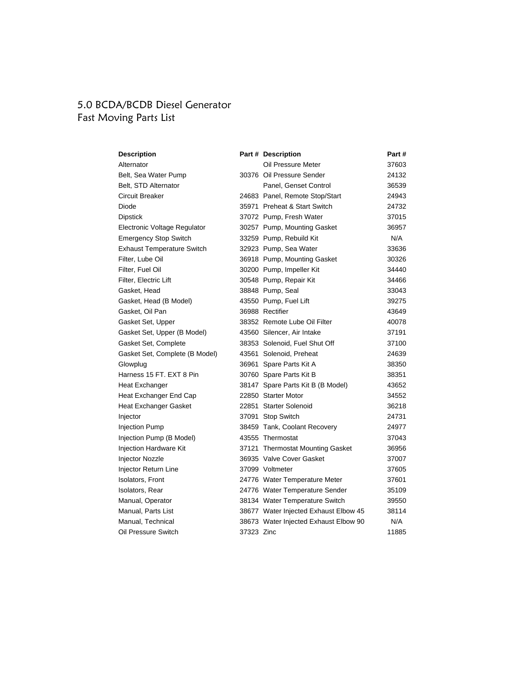## 5.0 BCDA/BCDB Diesel Generator Fast Moving Parts List

| <b>Description</b>                |            | Part # Description                    | Part# |
|-----------------------------------|------------|---------------------------------------|-------|
| Alternator                        |            | Oil Pressure Meter                    | 37603 |
| Belt, Sea Water Pump              |            | 30376 Oil Pressure Sender             | 24132 |
| Belt, STD Alternator              |            | Panel, Genset Control                 | 36539 |
| <b>Circuit Breaker</b>            |            | 24683 Panel, Remote Stop/Start        | 24943 |
| Diode                             |            | 35971 Preheat & Start Switch          | 24732 |
| <b>Dipstick</b>                   |            | 37072 Pump, Fresh Water               | 37015 |
| Electronic Voltage Regulator      |            | 30257 Pump, Mounting Gasket           | 36957 |
| <b>Emergency Stop Switch</b>      |            | 33259 Pump, Rebuild Kit               | N/A   |
| <b>Exhaust Temperature Switch</b> |            | 32923 Pump, Sea Water                 | 33636 |
| Filter, Lube Oil                  |            | 36918 Pump, Mounting Gasket           | 30326 |
| Filter, Fuel Oil                  |            | 30200 Pump, Impeller Kit              | 34440 |
| Filter, Electric Lift             |            | 30548 Pump, Repair Kit                | 34466 |
| Gasket, Head                      |            | 38848 Pump, Seal                      | 33043 |
| Gasket, Head (B Model)            |            | 43550 Pump, Fuel Lift                 | 39275 |
| Gasket, Oil Pan                   |            | 36988 Rectifier                       | 43649 |
| Gasket Set, Upper                 |            | 38352 Remote Lube Oil Filter          | 40078 |
| Gasket Set, Upper (B Model)       |            | 43560 Silencer, Air Intake            | 37191 |
| Gasket Set, Complete              |            | 38353 Solenoid, Fuel Shut Off         | 37100 |
| Gasket Set, Complete (B Model)    |            | 43561 Solenoid, Preheat               | 24639 |
| Glowplug                          |            | 36961 Spare Parts Kit A               | 38350 |
| Harness 15 FT, EXT 8 Pin          |            | 30760 Spare Parts Kit B               | 38351 |
| Heat Exchanger                    |            | 38147 Spare Parts Kit B (B Model)     | 43652 |
| Heat Exchanger End Cap            |            | 22850 Starter Motor                   | 34552 |
| <b>Heat Exchanger Gasket</b>      |            | 22851 Starter Solenoid                | 36218 |
| Injector                          |            | 37091 Stop Switch                     | 24731 |
| <b>Injection Pump</b>             |            | 38459 Tank, Coolant Recovery          | 24977 |
| Injection Pump (B Model)          |            | 43555 Thermostat                      | 37043 |
| Injection Hardware Kit            |            | 37121 Thermostat Mounting Gasket      | 36956 |
| Injector Nozzle                   |            | 36935 Valve Cover Gasket              | 37007 |
| Injector Return Line              |            | 37099 Voltmeter                       | 37605 |
| <b>Isolators, Front</b>           |            | 24776 Water Temperature Meter         | 37601 |
| Isolators, Rear                   |            | 24776 Water Temperature Sender        | 35109 |
| Manual, Operator                  |            | 38134 Water Temperature Switch        | 39550 |
| Manual, Parts List                |            | 38677 Water Injected Exhaust Elbow 45 | 38114 |
| Manual, Technical                 |            | 38673 Water Injected Exhaust Elbow 90 | N/A   |
| Oil Pressure Switch               | 37323 Zinc |                                       | 11885 |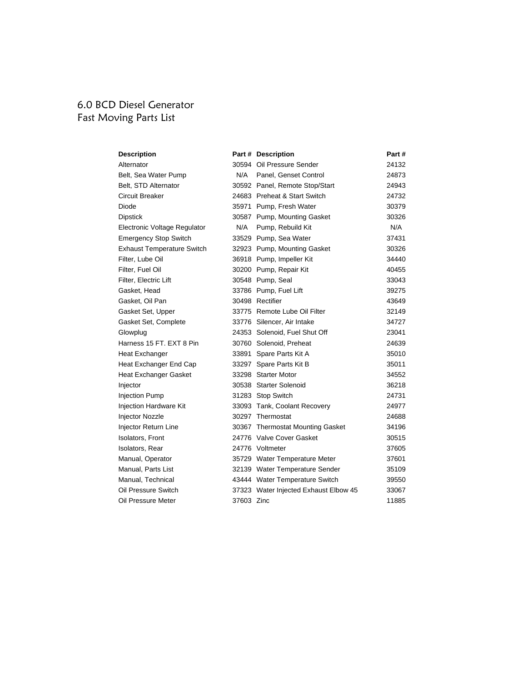## 6.0 BCD Diesel Generator Fast Moving Parts List

| <b>Description</b>                |            | Part # Description                    | Part # |
|-----------------------------------|------------|---------------------------------------|--------|
| Alternator                        |            | 30594 Oil Pressure Sender             | 24132  |
| Belt, Sea Water Pump              | N/A        | Panel, Genset Control                 | 24873  |
| Belt, STD Alternator              |            | 30592 Panel, Remote Stop/Start        | 24943  |
| Circuit Breaker                   |            | 24683 Preheat & Start Switch          | 24732  |
| Diode                             |            | 35971 Pump, Fresh Water               | 30379  |
| <b>Dipstick</b>                   |            | 30587 Pump, Mounting Gasket           | 30326  |
| Electronic Voltage Regulator      | N/A        | Pump, Rebuild Kit                     | N/A    |
| <b>Emergency Stop Switch</b>      |            | 33529 Pump, Sea Water                 | 37431  |
| <b>Exhaust Temperature Switch</b> |            | 32923 Pump, Mounting Gasket           | 30326  |
| Filter, Lube Oil                  |            | 36918 Pump, Impeller Kit              | 34440  |
| Filter, Fuel Oil                  |            | 30200 Pump, Repair Kit                | 40455  |
| Filter, Electric Lift             |            | 30548 Pump, Seal                      | 33043  |
| Gasket, Head                      |            | 33786 Pump, Fuel Lift                 | 39275  |
| Gasket, Oil Pan                   |            | 30498 Rectifier                       | 43649  |
| Gasket Set, Upper                 |            | 33775 Remote Lube Oil Filter          | 32149  |
| Gasket Set, Complete              |            | 33776 Silencer, Air Intake            | 34727  |
| Glowplug                          |            | 24353 Solenoid, Fuel Shut Off         | 23041  |
| Harness 15 FT, EXT 8 Pin          |            | 30760 Solenoid, Preheat               | 24639  |
| Heat Exchanger                    |            | 33891 Spare Parts Kit A               | 35010  |
| Heat Exchanger End Cap            |            | 33297 Spare Parts Kit B               | 35011  |
| <b>Heat Exchanger Gasket</b>      |            | 33298 Starter Motor                   | 34552  |
| Injector                          |            | 30538 Starter Solenoid                | 36218  |
| <b>Injection Pump</b>             |            | 31283 Stop Switch                     | 24731  |
| Injection Hardware Kit            |            | 33093 Tank, Coolant Recovery          | 24977  |
| Injector Nozzle                   |            | 30297 Thermostat                      | 24688  |
| Injector Return Line              |            | 30367 Thermostat Mounting Gasket      | 34196  |
| Isolators, Front                  |            | 24776 Valve Cover Gasket              | 30515  |
| Isolators, Rear                   |            | 24776 Voltmeter                       | 37605  |
| Manual, Operator                  |            | 35729 Water Temperature Meter         | 37601  |
| Manual, Parts List                |            | 32139 Water Temperature Sender        | 35109  |
| Manual, Technical                 |            | 43444 Water Temperature Switch        | 39550  |
| Oil Pressure Switch               |            | 37323 Water Injected Exhaust Elbow 45 | 33067  |
| Oil Pressure Meter                | 37603 Zinc |                                       | 11885  |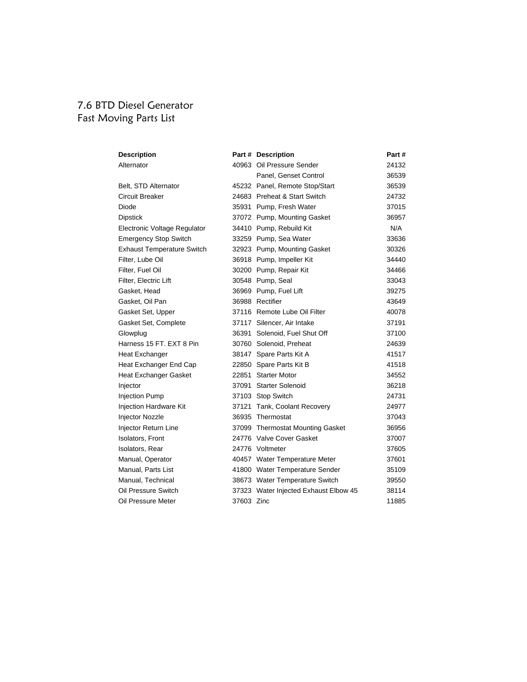#### 7.6 BTD Diesel Generator Fast Moving Parts List

| <b>Description</b>                |            | Part # Description                    | Part # |
|-----------------------------------|------------|---------------------------------------|--------|
| Alternator                        |            | 40963 Oil Pressure Sender             | 24132  |
|                                   |            | Panel, Genset Control                 | 36539  |
| Belt, STD Alternator              |            | 45232 Panel, Remote Stop/Start        | 36539  |
| Circuit Breaker                   |            | 24683 Preheat & Start Switch          | 24732  |
| Diode                             |            | 35931 Pump, Fresh Water               | 37015  |
| Dipstick                          |            | 37072 Pump, Mounting Gasket           | 36957  |
| Electronic Voltage Regulator      |            | 34410 Pump, Rebuild Kit               | N/A    |
| <b>Emergency Stop Switch</b>      |            | 33259 Pump, Sea Water                 | 33636  |
| <b>Exhaust Temperature Switch</b> |            | 32923 Pump, Mounting Gasket           | 30326  |
| Filter, Lube Oil                  |            | 36918 Pump, Impeller Kit              | 34440  |
| Filter, Fuel Oil                  |            | 30200 Pump, Repair Kit                | 34466  |
| Filter, Electric Lift             |            | 30548 Pump, Seal                      | 33043  |
| Gasket, Head                      |            | 36969 Pump, Fuel Lift                 | 39275  |
| Gasket, Oil Pan                   |            | 36988 Rectifier                       | 43649  |
| Gasket Set, Upper                 |            | 37116 Remote Lube Oil Filter          | 40078  |
| Gasket Set, Complete              |            | 37117 Silencer, Air Intake            | 37191  |
| Glowplug                          |            | 36391 Solenoid, Fuel Shut Off         | 37100  |
| Harness 15 FT, EXT 8 Pin          |            | 30760 Solenoid, Preheat               | 24639  |
| Heat Exchanger                    |            | 38147 Spare Parts Kit A               | 41517  |
| Heat Exchanger End Cap            |            | 22850 Spare Parts Kit B               | 41518  |
| Heat Exchanger Gasket             |            | 22851 Starter Motor                   | 34552  |
| Injector                          |            | 37091 Starter Solenoid                | 36218  |
| <b>Injection Pump</b>             |            | 37103 Stop Switch                     | 24731  |
| <b>Injection Hardware Kit</b>     |            | 37121 Tank, Coolant Recovery          | 24977  |
| <b>Injector Nozzle</b>            |            | 36935 Thermostat                      | 37043  |
| Injector Return Line              |            | 37099 Thermostat Mounting Gasket      | 36956  |
| <b>Isolators, Front</b>           |            | 24776 Valve Cover Gasket              | 37007  |
| Isolators, Rear                   |            | 24776 Voltmeter                       | 37605  |
| Manual, Operator                  |            | 40457 Water Temperature Meter         | 37601  |
| Manual, Parts List                |            | 41800 Water Temperature Sender        | 35109  |
| Manual, Technical                 |            | 38673 Water Temperature Switch        | 39550  |
| Oil Pressure Switch               |            | 37323 Water Injected Exhaust Elbow 45 | 38114  |
| Oil Pressure Meter                | 37603 Zinc |                                       | 11885  |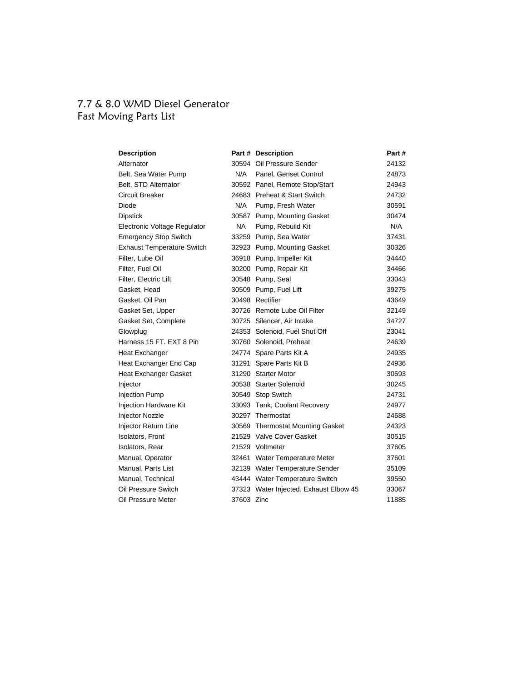## 7.7 & 8.0 WMD Diesel Generator Fast Moving Parts List

| <b>Description</b>                |            | Part # Description                     | Part # |
|-----------------------------------|------------|----------------------------------------|--------|
| Alternator                        |            | 30594 Oil Pressure Sender              | 24132  |
| Belt, Sea Water Pump              | N/A        | Panel, Genset Control                  | 24873  |
| Belt, STD Alternator              |            | 30592 Panel, Remote Stop/Start         | 24943  |
| Circuit Breaker                   |            | 24683 Preheat & Start Switch           | 24732  |
| Diode                             | N/A        | Pump, Fresh Water                      | 30591  |
| <b>Dipstick</b>                   |            | 30587 Pump, Mounting Gasket            | 30474  |
| Electronic Voltage Regulator      | NA.        | Pump, Rebuild Kit                      | N/A    |
| <b>Emergency Stop Switch</b>      |            | 33259 Pump, Sea Water                  | 37431  |
| <b>Exhaust Temperature Switch</b> |            | 32923 Pump, Mounting Gasket            | 30326  |
| Filter, Lube Oil                  |            | 36918 Pump, Impeller Kit               | 34440  |
| Filter, Fuel Oil                  |            | 30200 Pump, Repair Kit                 | 34466  |
| Filter, Electric Lift             |            | 30548 Pump, Seal                       | 33043  |
| Gasket, Head                      |            | 30509 Pump, Fuel Lift                  | 39275  |
| Gasket, Oil Pan                   |            | 30498 Rectifier                        | 43649  |
| Gasket Set, Upper                 |            | 30726 Remote Lube Oil Filter           | 32149  |
| Gasket Set, Complete              |            | 30725 Silencer, Air Intake             | 34727  |
| Glowplug                          |            | 24353 Solenoid, Fuel Shut Off          | 23041  |
| Harness 15 FT, EXT 8 Pin          |            | 30760 Solenoid, Preheat                | 24639  |
| Heat Exchanger                    |            | 24774 Spare Parts Kit A                | 24935  |
| Heat Exchanger End Cap            |            | 31291 Spare Parts Kit B                | 24936  |
| <b>Heat Exchanger Gasket</b>      |            | 31290 Starter Motor                    | 30593  |
| Injector                          |            | 30538 Starter Solenoid                 | 30245  |
| <b>Injection Pump</b>             |            | 30549 Stop Switch                      | 24731  |
| Injection Hardware Kit            |            | 33093 Tank, Coolant Recovery           | 24977  |
| Injector Nozzle                   |            | 30297 Thermostat                       | 24688  |
| Injector Return Line              |            | 30569 Thermostat Mounting Gasket       | 24323  |
| Isolators, Front                  |            | 21529 Valve Cover Gasket               | 30515  |
| Isolators, Rear                   |            | 21529 Voltmeter                        | 37605  |
| Manual, Operator                  |            | 32461 Water Temperature Meter          | 37601  |
| Manual, Parts List                |            | 32139 Water Temperature Sender         | 35109  |
| Manual, Technical                 |            | 43444 Water Temperature Switch         | 39550  |
| Oil Pressure Switch               |            | 37323 Water Injected. Exhaust Elbow 45 | 33067  |
| Oil Pressure Meter                | 37603 Zinc |                                        | 11885  |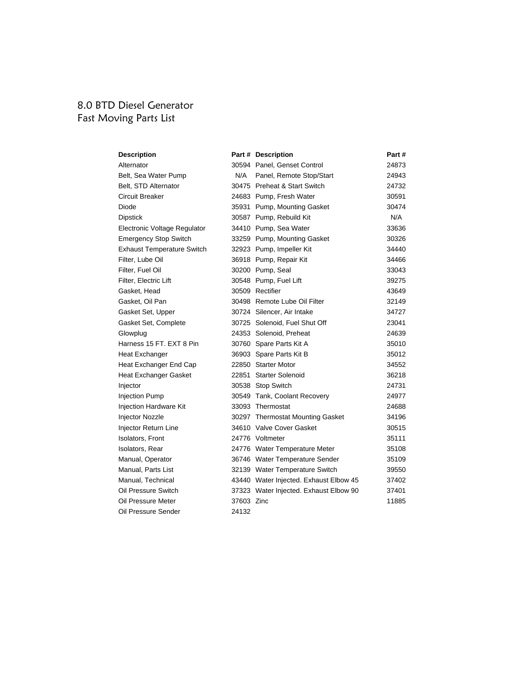#### 8.0 BTD Diesel Generator Fast Moving Parts List

| <b>Description</b>                |            | Part # Description                     | Part# |
|-----------------------------------|------------|----------------------------------------|-------|
| Alternator                        |            | 30594 Panel, Genset Control            | 24873 |
| Belt, Sea Water Pump              | N/A        | Panel, Remote Stop/Start               | 24943 |
| Belt, STD Alternator              |            | 30475 Preheat & Start Switch           | 24732 |
| Circuit Breaker                   |            | 24683 Pump, Fresh Water                | 30591 |
| Diode                             |            | 35931 Pump, Mounting Gasket            | 30474 |
| <b>Dipstick</b>                   |            | 30587 Pump, Rebuild Kit                | N/A   |
| Electronic Voltage Regulator      |            | 34410 Pump, Sea Water                  | 33636 |
| <b>Emergency Stop Switch</b>      |            | 33259 Pump, Mounting Gasket            | 30326 |
| <b>Exhaust Temperature Switch</b> |            | 32923 Pump, Impeller Kit               | 34440 |
| Filter, Lube Oil                  |            | 36918 Pump, Repair Kit                 | 34466 |
| Filter, Fuel Oil                  |            | 30200 Pump, Seal                       | 33043 |
| Filter, Electric Lift             |            | 30548 Pump, Fuel Lift                  | 39275 |
| Gasket, Head                      |            | 30509 Rectifier                        | 43649 |
| Gasket, Oil Pan                   |            | 30498 Remote Lube Oil Filter           | 32149 |
| Gasket Set, Upper                 |            | 30724 Silencer, Air Intake             | 34727 |
| Gasket Set, Complete              |            | 30725 Solenoid, Fuel Shut Off          | 23041 |
| Glowplug                          |            | 24353 Solenoid, Preheat                | 24639 |
| Harness 15 FT, EXT 8 Pin          |            | 30760 Spare Parts Kit A                | 35010 |
| Heat Exchanger                    |            | 36903 Spare Parts Kit B                | 35012 |
| Heat Exchanger End Cap            |            | 22850 Starter Motor                    | 34552 |
| <b>Heat Exchanger Gasket</b>      |            | 22851 Starter Solenoid                 | 36218 |
| Injector                          |            | 30538 Stop Switch                      | 24731 |
| <b>Injection Pump</b>             |            | 30549 Tank, Coolant Recovery           | 24977 |
| Injection Hardware Kit            |            | 33093 Thermostat                       | 24688 |
| <b>Injector Nozzle</b>            |            | 30297 Thermostat Mounting Gasket       | 34196 |
| Injector Return Line              |            | 34610 Valve Cover Gasket               | 30515 |
| Isolators, Front                  |            | 24776 Voltmeter                        | 35111 |
| Isolators, Rear                   |            | 24776 Water Temperature Meter          | 35108 |
| Manual, Operator                  |            | 36746 Water Temperature Sender         | 35109 |
| Manual, Parts List                |            | 32139 Water Temperature Switch         | 39550 |
| Manual, Technical                 |            | 43440 Water Injected. Exhaust Elbow 45 | 37402 |
| Oil Pressure Switch               |            | 37323 Water Injected. Exhaust Elbow 90 | 37401 |
| Oil Pressure Meter                | 37603 Zinc |                                        | 11885 |
| Oil Pressure Sender               | 24132      |                                        |       |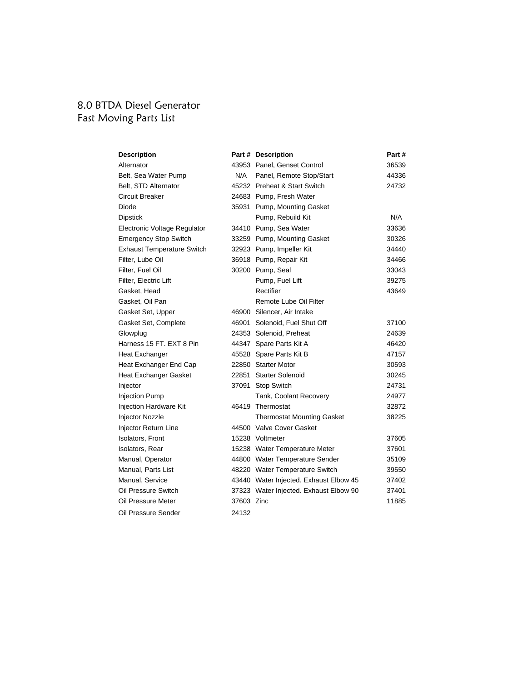#### 8.0 BTDA Diesel Generator Fast Moving Parts List

| <b>Description</b>                |            | Part # Description                     | Part# |
|-----------------------------------|------------|----------------------------------------|-------|
| Alternator                        |            | 43953 Panel, Genset Control            | 36539 |
| Belt, Sea Water Pump              | N/A        | Panel, Remote Stop/Start               | 44336 |
| Belt, STD Alternator              |            | 45232 Preheat & Start Switch           | 24732 |
| Circuit Breaker                   |            | 24683 Pump, Fresh Water                |       |
| Diode                             |            | 35931 Pump, Mounting Gasket            |       |
| <b>Dipstick</b>                   |            | Pump, Rebuild Kit                      | N/A   |
| Electronic Voltage Regulator      |            | 34410 Pump, Sea Water                  | 33636 |
| <b>Emergency Stop Switch</b>      |            | 33259 Pump, Mounting Gasket            | 30326 |
| <b>Exhaust Temperature Switch</b> |            | 32923 Pump, Impeller Kit               | 34440 |
| Filter, Lube Oil                  |            | 36918 Pump, Repair Kit                 | 34466 |
| Filter, Fuel Oil                  |            | 30200 Pump, Seal                       | 33043 |
| Filter, Electric Lift             |            | Pump, Fuel Lift                        | 39275 |
| Gasket, Head                      |            | Rectifier                              | 43649 |
| Gasket, Oil Pan                   |            | Remote Lube Oil Filter                 |       |
| Gasket Set, Upper                 |            | 46900 Silencer, Air Intake             |       |
| Gasket Set, Complete              |            | 46901 Solenoid, Fuel Shut Off          | 37100 |
| Glowplug                          |            | 24353 Solenoid, Preheat                | 24639 |
| Harness 15 FT, EXT 8 Pin          |            | 44347 Spare Parts Kit A                | 46420 |
| Heat Exchanger                    |            | 45528 Spare Parts Kit B                | 47157 |
| Heat Exchanger End Cap            |            | 22850 Starter Motor                    | 30593 |
| Heat Exchanger Gasket             |            | 22851 Starter Solenoid                 | 30245 |
| Injector                          |            | 37091 Stop Switch                      | 24731 |
| <b>Injection Pump</b>             |            | Tank, Coolant Recovery                 | 24977 |
| Injection Hardware Kit            |            | 46419 Thermostat                       | 32872 |
| Injector Nozzle                   |            | <b>Thermostat Mounting Gasket</b>      | 38225 |
| Injector Return Line              |            | 44500 Valve Cover Gasket               |       |
| <b>Isolators, Front</b>           |            | 15238 Voltmeter                        | 37605 |
| Isolators, Rear                   |            | 15238 Water Temperature Meter          | 37601 |
| Manual, Operator                  |            | 44800 Water Temperature Sender         | 35109 |
| Manual, Parts List                |            | 48220 Water Temperature Switch         | 39550 |
| Manual, Service                   |            | 43440 Water Injected. Exhaust Elbow 45 | 37402 |
| Oil Pressure Switch               |            | 37323 Water Injected. Exhaust Elbow 90 | 37401 |
| Oil Pressure Meter                | 37603 Zinc |                                        | 11885 |
| Oil Pressure Sender               | 24132      |                                        |       |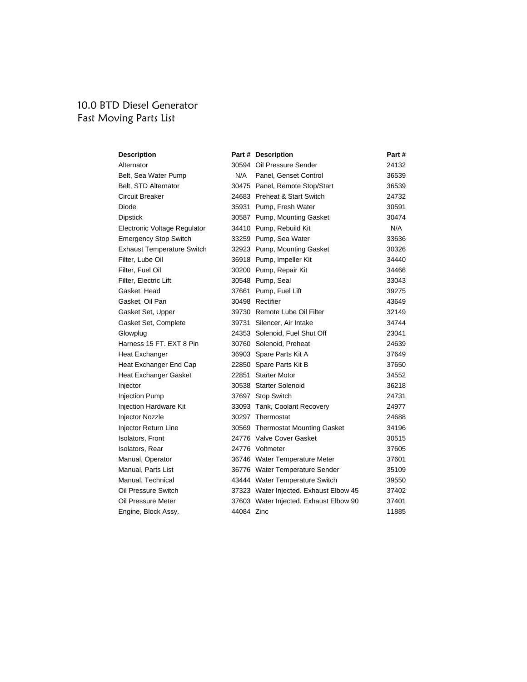# 10.0 BTD Diesel Generator Fast Moving Parts List

| <b>Description</b>                |            | Part # Description                     | Part # |
|-----------------------------------|------------|----------------------------------------|--------|
| Alternator                        |            | 30594 Oil Pressure Sender              | 24132  |
| Belt, Sea Water Pump              | N/A        | Panel, Genset Control                  | 36539  |
| Belt, STD Alternator              |            | 30475 Panel, Remote Stop/Start         | 36539  |
| Circuit Breaker                   |            | 24683 Preheat & Start Switch           | 24732  |
| Diode                             |            | 35931 Pump, Fresh Water                | 30591  |
| <b>Dipstick</b>                   |            | 30587 Pump, Mounting Gasket            | 30474  |
| Electronic Voltage Regulator      |            | 34410 Pump, Rebuild Kit                | N/A    |
| <b>Emergency Stop Switch</b>      |            | 33259 Pump, Sea Water                  | 33636  |
| <b>Exhaust Temperature Switch</b> |            | 32923 Pump, Mounting Gasket            | 30326  |
| Filter, Lube Oil                  |            | 36918 Pump, Impeller Kit               | 34440  |
| Filter, Fuel Oil                  |            | 30200 Pump, Repair Kit                 | 34466  |
| Filter, Electric Lift             |            | 30548 Pump, Seal                       | 33043  |
| Gasket, Head                      |            | 37661 Pump, Fuel Lift                  | 39275  |
| Gasket, Oil Pan                   |            | 30498 Rectifier                        | 43649  |
| Gasket Set, Upper                 |            | 39730 Remote Lube Oil Filter           | 32149  |
| Gasket Set, Complete              |            | 39731 Silencer, Air Intake             | 34744  |
| Glowplug                          |            | 24353 Solenoid, Fuel Shut Off          | 23041  |
| Harness 15 FT, EXT 8 Pin          |            | 30760 Solenoid, Preheat                | 24639  |
| <b>Heat Exchanger</b>             |            | 36903 Spare Parts Kit A                | 37649  |
| Heat Exchanger End Cap            |            | 22850 Spare Parts Kit B                | 37650  |
| Heat Exchanger Gasket             |            | 22851 Starter Motor                    | 34552  |
| Injector                          |            | 30538 Starter Solenoid                 | 36218  |
| <b>Injection Pump</b>             |            | 37697 Stop Switch                      | 24731  |
| Injection Hardware Kit            |            | 33093 Tank, Coolant Recovery           | 24977  |
| <b>Injector Nozzle</b>            |            | 30297 Thermostat                       | 24688  |
| Injector Return Line              |            | 30569 Thermostat Mounting Gasket       | 34196  |
| Isolators, Front                  |            | 24776 Valve Cover Gasket               | 30515  |
| Isolators, Rear                   |            | 24776 Voltmeter                        | 37605  |
| Manual, Operator                  |            | 36746 Water Temperature Meter          | 37601  |
| Manual, Parts List                |            | 36776 Water Temperature Sender         | 35109  |
| Manual, Technical                 |            | 43444 Water Temperature Switch         | 39550  |
| Oil Pressure Switch               |            | 37323 Water Injected. Exhaust Elbow 45 | 37402  |
| Oil Pressure Meter                |            | 37603 Water Injected. Exhaust Elbow 90 | 37401  |
| Engine, Block Assy.               | 44084 Zinc |                                        | 11885  |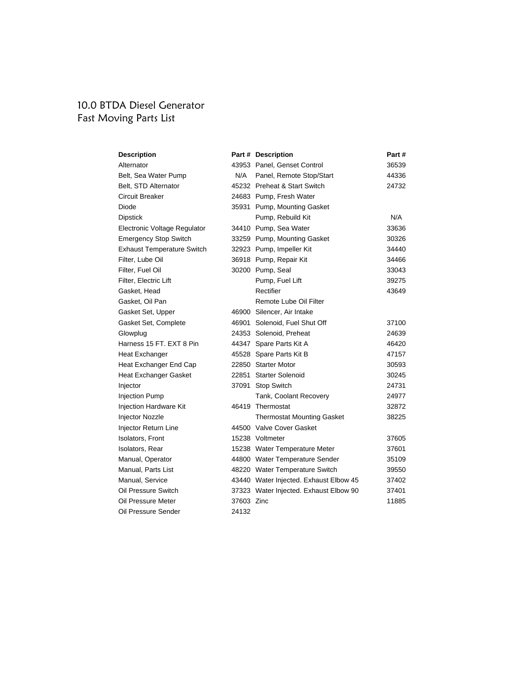# 10.0 BTDA Diesel Generator Fast Moving Parts List

| <b>Description</b>                |            | Part # Description                     | Part# |
|-----------------------------------|------------|----------------------------------------|-------|
| Alternator                        |            | 43953 Panel, Genset Control            | 36539 |
| Belt, Sea Water Pump              | N/A        | Panel, Remote Stop/Start               | 44336 |
| Belt, STD Alternator              |            | 45232 Preheat & Start Switch           | 24732 |
| Circuit Breaker                   |            | 24683 Pump, Fresh Water                |       |
| Diode                             |            | 35931 Pump, Mounting Gasket            |       |
| <b>Dipstick</b>                   |            | Pump, Rebuild Kit                      | N/A   |
| Electronic Voltage Regulator      |            | 34410 Pump, Sea Water                  | 33636 |
| <b>Emergency Stop Switch</b>      |            | 33259 Pump, Mounting Gasket            | 30326 |
| <b>Exhaust Temperature Switch</b> |            | 32923 Pump, Impeller Kit               | 34440 |
| Filter, Lube Oil                  |            | 36918 Pump, Repair Kit                 | 34466 |
| Filter, Fuel Oil                  |            | 30200 Pump, Seal                       | 33043 |
| Filter, Electric Lift             |            | Pump, Fuel Lift                        | 39275 |
| Gasket, Head                      |            | Rectifier                              | 43649 |
| Gasket, Oil Pan                   |            | Remote Lube Oil Filter                 |       |
| Gasket Set, Upper                 |            | 46900 Silencer, Air Intake             |       |
| Gasket Set, Complete              |            | 46901 Solenoid, Fuel Shut Off          | 37100 |
| Glowplug                          |            | 24353 Solenoid, Preheat                | 24639 |
| Harness 15 FT, EXT 8 Pin          |            | 44347 Spare Parts Kit A                | 46420 |
| Heat Exchanger                    |            | 45528 Spare Parts Kit B                | 47157 |
| Heat Exchanger End Cap            |            | 22850 Starter Motor                    | 30593 |
| <b>Heat Exchanger Gasket</b>      |            | 22851 Starter Solenoid                 | 30245 |
| Injector                          |            | 37091 Stop Switch                      | 24731 |
| <b>Injection Pump</b>             |            | Tank, Coolant Recovery                 | 24977 |
| Injection Hardware Kit            |            | 46419 Thermostat                       | 32872 |
| <b>Injector Nozzle</b>            |            | <b>Thermostat Mounting Gasket</b>      | 38225 |
| Injector Return Line              |            | 44500 Valve Cover Gasket               |       |
| Isolators, Front                  |            | 15238 Voltmeter                        | 37605 |
| Isolators, Rear                   |            | 15238 Water Temperature Meter          | 37601 |
| Manual, Operator                  |            | 44800 Water Temperature Sender         | 35109 |
| Manual. Parts List                |            | 48220 Water Temperature Switch         | 39550 |
| Manual, Service                   |            | 43440 Water Injected. Exhaust Elbow 45 | 37402 |
| Oil Pressure Switch               |            | 37323 Water Injected. Exhaust Elbow 90 | 37401 |
| Oil Pressure Meter                | 37603 Zinc |                                        | 11885 |
| Oil Pressure Sender               | 24132      |                                        |       |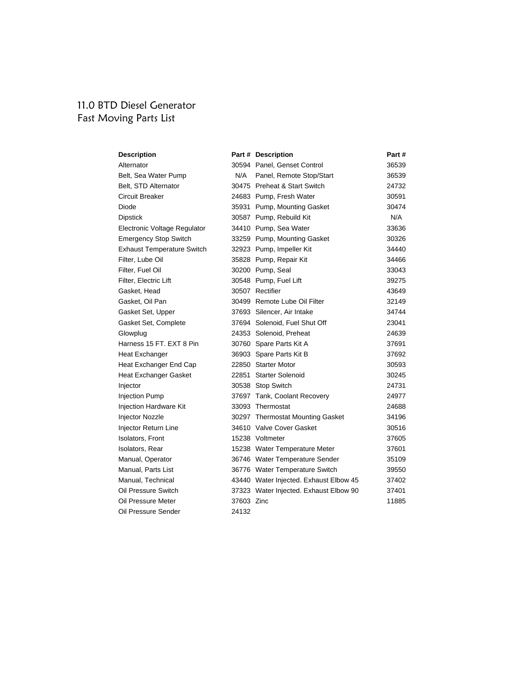## 11.0 BTD Diesel Generator Fast Moving Parts List

| <b>Description</b>                |            | Part # Description                     | Part# |
|-----------------------------------|------------|----------------------------------------|-------|
| Alternator                        |            | 30594 Panel, Genset Control            | 36539 |
| Belt, Sea Water Pump              | N/A        | Panel, Remote Stop/Start               | 36539 |
| Belt, STD Alternator              |            | 30475 Preheat & Start Switch           | 24732 |
| Circuit Breaker                   |            | 24683 Pump, Fresh Water                | 30591 |
| Diode                             |            | 35931 Pump, Mounting Gasket            | 30474 |
| <b>Dipstick</b>                   |            | 30587 Pump, Rebuild Kit                | N/A   |
| Electronic Voltage Regulator      |            | 34410 Pump, Sea Water                  | 33636 |
| <b>Emergency Stop Switch</b>      |            | 33259 Pump, Mounting Gasket            | 30326 |
| <b>Exhaust Temperature Switch</b> |            | 32923 Pump, Impeller Kit               | 34440 |
| Filter, Lube Oil                  |            | 35828 Pump, Repair Kit                 | 34466 |
| Filter, Fuel Oil                  |            | 30200 Pump, Seal                       | 33043 |
| Filter, Electric Lift             |            | 30548 Pump, Fuel Lift                  | 39275 |
| Gasket, Head                      |            | 30507 Rectifier                        | 43649 |
| Gasket, Oil Pan                   |            | 30499 Remote Lube Oil Filter           | 32149 |
| Gasket Set, Upper                 |            | 37693 Silencer, Air Intake             | 34744 |
| Gasket Set, Complete              |            | 37694 Solenoid, Fuel Shut Off          | 23041 |
| Glowplug                          |            | 24353 Solenoid, Preheat                | 24639 |
| Harness 15 FT, EXT 8 Pin          |            | 30760 Spare Parts Kit A                | 37691 |
| Heat Exchanger                    |            | 36903 Spare Parts Kit B                | 37692 |
| Heat Exchanger End Cap            |            | 22850 Starter Motor                    | 30593 |
| <b>Heat Exchanger Gasket</b>      |            | 22851 Starter Solenoid                 | 30245 |
| Injector                          |            | 30538 Stop Switch                      | 24731 |
| <b>Injection Pump</b>             |            | 37697 Tank, Coolant Recovery           | 24977 |
| Injection Hardware Kit            |            | 33093 Thermostat                       | 24688 |
| Injector Nozzle                   |            | 30297 Thermostat Mounting Gasket       | 34196 |
| Injector Return Line              |            | 34610 Valve Cover Gasket               | 30516 |
| Isolators, Front                  |            | 15238 Voltmeter                        | 37605 |
| Isolators, Rear                   |            | 15238 Water Temperature Meter          | 37601 |
| Manual, Operator                  |            | 36746 Water Temperature Sender         | 35109 |
| Manual, Parts List                |            | 36776 Water Temperature Switch         | 39550 |
| Manual, Technical                 |            | 43440 Water Injected. Exhaust Elbow 45 | 37402 |
| Oil Pressure Switch               |            | 37323 Water Injected. Exhaust Elbow 90 | 37401 |
| Oil Pressure Meter                | 37603 Zinc |                                        | 11885 |
| Oil Pressure Sender               | 24132      |                                        |       |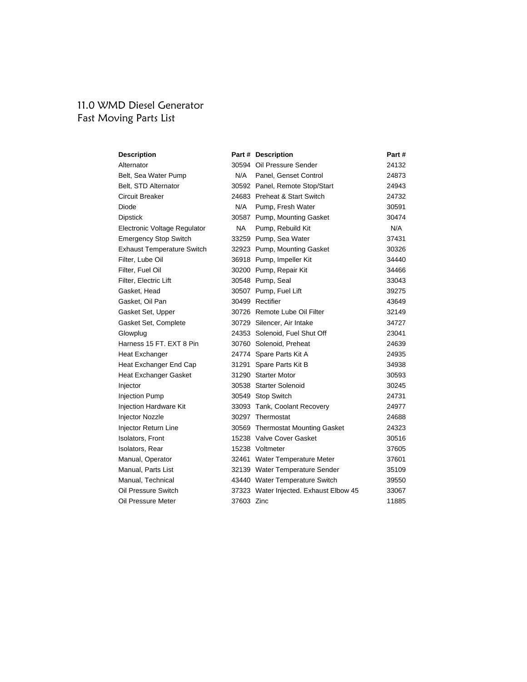# 11.0 WMD Diesel Generator Fast Moving Parts List

| <b>Description</b>                |            | Part # Description                     | Part # |
|-----------------------------------|------------|----------------------------------------|--------|
| Alternator                        |            | 30594 Oil Pressure Sender              | 24132  |
| Belt, Sea Water Pump              | N/A        | Panel, Genset Control                  | 24873  |
| Belt, STD Alternator              |            | 30592 Panel, Remote Stop/Start         | 24943  |
| <b>Circuit Breaker</b>            |            | 24683 Preheat & Start Switch           | 24732  |
| Diode                             | N/A        | Pump, Fresh Water                      | 30591  |
| <b>Dipstick</b>                   |            | 30587 Pump, Mounting Gasket            | 30474  |
| Electronic Voltage Regulator      | NA.        | Pump, Rebuild Kit                      | N/A    |
| <b>Emergency Stop Switch</b>      |            | 33259 Pump, Sea Water                  | 37431  |
| <b>Exhaust Temperature Switch</b> |            | 32923 Pump, Mounting Gasket            | 30326  |
| Filter. Lube Oil                  |            | 36918 Pump, Impeller Kit               | 34440  |
| Filter, Fuel Oil                  |            | 30200 Pump, Repair Kit                 | 34466  |
| Filter, Electric Lift             |            | 30548 Pump, Seal                       | 33043  |
| Gasket, Head                      |            | 30507 Pump, Fuel Lift                  | 39275  |
| Gasket, Oil Pan                   |            | 30499 Rectifier                        | 43649  |
| Gasket Set, Upper                 |            | 30726 Remote Lube Oil Filter           | 32149  |
| Gasket Set, Complete              |            | 30729 Silencer, Air Intake             | 34727  |
| Glowplug                          |            | 24353 Solenoid, Fuel Shut Off          | 23041  |
| Harness 15 FT, EXT 8 Pin          |            | 30760 Solenoid, Preheat                | 24639  |
| Heat Exchanger                    |            | 24774 Spare Parts Kit A                | 24935  |
| Heat Exchanger End Cap            |            | 31291 Spare Parts Kit B                | 34938  |
| Heat Exchanger Gasket             |            | 31290 Starter Motor                    | 30593  |
| Injector                          |            | 30538 Starter Solenoid                 | 30245  |
| <b>Injection Pump</b>             |            | 30549 Stop Switch                      | 24731  |
| Injection Hardware Kit            |            | 33093 Tank, Coolant Recovery           | 24977  |
| <b>Injector Nozzle</b>            |            | 30297 Thermostat                       | 24688  |
| Injector Return Line              |            | 30569 Thermostat Mounting Gasket       | 24323  |
| Isolators, Front                  |            | 15238 Valve Cover Gasket               | 30516  |
| Isolators, Rear                   |            | 15238 Voltmeter                        | 37605  |
| Manual, Operator                  |            | 32461 Water Temperature Meter          | 37601  |
| Manual, Parts List                |            | 32139 Water Temperature Sender         | 35109  |
| Manual, Technical                 |            | 43440 Water Temperature Switch         | 39550  |
| Oil Pressure Switch               |            | 37323 Water Injected. Exhaust Elbow 45 | 33067  |
| Oil Pressure Meter                | 37603 Zinc |                                        | 11885  |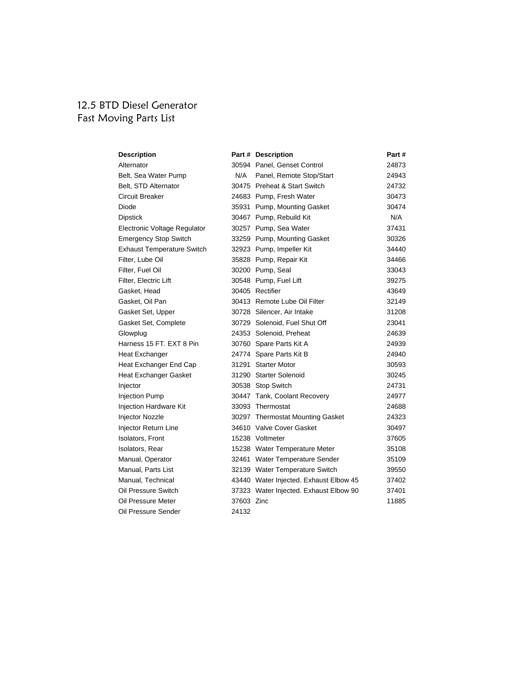# 12.5 BTD Diesel Generator Fast Moving Parts List

| <b>Description</b>                |            | Part # Description                     | Part # |
|-----------------------------------|------------|----------------------------------------|--------|
| Alternator                        |            | 30594 Panel, Genset Control            | 24873  |
| Belt, Sea Water Pump              | N/A        | Panel, Remote Stop/Start               | 24943  |
| Belt, STD Alternator              |            | 30475 Preheat & Start Switch           | 24732  |
| Circuit Breaker                   |            | 24683 Pump, Fresh Water                | 30473  |
| Diode                             |            | 35931 Pump, Mounting Gasket            | 30474  |
| <b>Dipstick</b>                   |            | 30467 Pump, Rebuild Kit                | N/A    |
| Electronic Voltage Regulator      |            | 30257 Pump, Sea Water                  | 37431  |
| <b>Emergency Stop Switch</b>      |            | 33259 Pump, Mounting Gasket            | 30326  |
| <b>Exhaust Temperature Switch</b> |            | 32923 Pump, Impeller Kit               | 34440  |
| Filter, Lube Oil                  |            | 35828 Pump, Repair Kit                 | 34466  |
| Filter, Fuel Oil                  |            | 30200 Pump, Seal                       | 33043  |
| Filter, Electric Lift             |            | 30548 Pump, Fuel Lift                  | 39275  |
| Gasket, Head                      |            | 30405 Rectifier                        | 43649  |
| Gasket, Oil Pan                   |            | 30413 Remote Lube Oil Filter           | 32149  |
| Gasket Set, Upper                 |            | 30728 Silencer, Air Intake             | 31208  |
| Gasket Set, Complete              |            | 30729 Solenoid, Fuel Shut Off          | 23041  |
| Glowplug                          |            | 24353 Solenoid, Preheat                | 24639  |
| Harness 15 FT, EXT 8 Pin          |            | 30760 Spare Parts Kit A                | 24939  |
| Heat Exchanger                    |            | 24774 Spare Parts Kit B                | 24940  |
| Heat Exchanger End Cap            |            | 31291 Starter Motor                    | 30593  |
| <b>Heat Exchanger Gasket</b>      |            | 31290 Starter Solenoid                 | 30245  |
| Injector                          |            | 30538 Stop Switch                      | 24731  |
| <b>Injection Pump</b>             |            | 30447 Tank, Coolant Recovery           | 24977  |
| <b>Injection Hardware Kit</b>     |            | 33093 Thermostat                       | 24688  |
| <b>Injector Nozzle</b>            |            | 30297 Thermostat Mounting Gasket       | 24323  |
| Injector Return Line              |            | 34610 Valve Cover Gasket               | 30497  |
| Isolators, Front                  |            | 15238 Voltmeter                        | 37605  |
| Isolators, Rear                   |            | 15238 Water Temperature Meter          | 35108  |
| Manual, Operator                  |            | 32461 Water Temperature Sender         | 35109  |
| Manual, Parts List                |            | 32139 Water Temperature Switch         | 39550  |
| Manual, Technical                 |            | 43440 Water Injected. Exhaust Elbow 45 | 37402  |
| Oil Pressure Switch               |            | 37323 Water Injected. Exhaust Elbow 90 | 37401  |
| Oil Pressure Meter                | 37603 Zinc |                                        | 11885  |
| Oil Pressure Sender               | 24132      |                                        |        |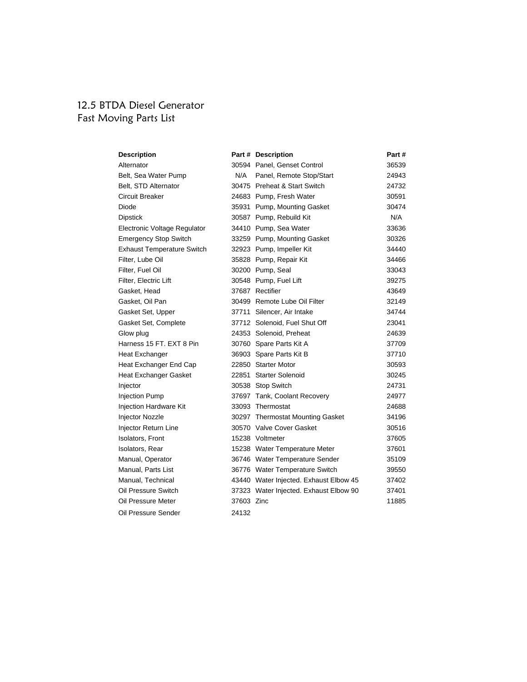#### 12.5 BTDA Diesel Generator Fast Moving Parts List

| <b>Description</b>                |            | Part # Description                     | Part# |
|-----------------------------------|------------|----------------------------------------|-------|
| Alternator                        |            | 30594 Panel, Genset Control            | 36539 |
| Belt, Sea Water Pump              | N/A        | Panel, Remote Stop/Start               | 24943 |
| Belt, STD Alternator              |            | 30475 Preheat & Start Switch           | 24732 |
| Circuit Breaker                   |            | 24683 Pump, Fresh Water                | 30591 |
| Diode                             |            | 35931 Pump, Mounting Gasket            | 30474 |
| <b>Dipstick</b>                   |            | 30587 Pump, Rebuild Kit                | N/A   |
| Electronic Voltage Regulator      |            | 34410 Pump, Sea Water                  | 33636 |
| <b>Emergency Stop Switch</b>      |            | 33259 Pump, Mounting Gasket            | 30326 |
| <b>Exhaust Temperature Switch</b> |            | 32923 Pump, Impeller Kit               | 34440 |
| Filter, Lube Oil                  |            | 35828 Pump, Repair Kit                 | 34466 |
| Filter, Fuel Oil                  |            | 30200 Pump, Seal                       | 33043 |
| Filter, Electric Lift             |            | 30548 Pump, Fuel Lift                  | 39275 |
| Gasket, Head                      |            | 37687 Rectifier                        | 43649 |
| Gasket, Oil Pan                   |            | 30499 Remote Lube Oil Filter           | 32149 |
| Gasket Set, Upper                 |            | 37711 Silencer, Air Intake             | 34744 |
| Gasket Set, Complete              |            | 37712 Solenoid, Fuel Shut Off          | 23041 |
| Glow plug                         |            | 24353 Solenoid, Preheat                | 24639 |
| Harness 15 FT, EXT 8 Pin          |            | 30760 Spare Parts Kit A                | 37709 |
| Heat Exchanger                    |            | 36903 Spare Parts Kit B                | 37710 |
| Heat Exchanger End Cap            |            | 22850 Starter Motor                    | 30593 |
| Heat Exchanger Gasket             |            | 22851 Starter Solenoid                 | 30245 |
| Injector                          |            | 30538 Stop Switch                      | 24731 |
| <b>Injection Pump</b>             |            | 37697 Tank, Coolant Recovery           | 24977 |
| Injection Hardware Kit            |            | 33093 Thermostat                       | 24688 |
| Injector Nozzle                   |            | 30297 Thermostat Mounting Gasket       | 34196 |
| Injector Return Line              |            | 30570 Valve Cover Gasket               | 30516 |
| Isolators, Front                  |            | 15238 Voltmeter                        | 37605 |
| Isolators, Rear                   |            | 15238 Water Temperature Meter          | 37601 |
| Manual, Operator                  |            | 36746 Water Temperature Sender         | 35109 |
| Manual, Parts List                |            | 36776 Water Temperature Switch         | 39550 |
| Manual, Technical                 |            | 43440 Water Injected. Exhaust Elbow 45 | 37402 |
| Oil Pressure Switch               |            | 37323 Water Injected. Exhaust Elbow 90 | 37401 |
| Oil Pressure Meter                | 37603 Zinc |                                        | 11885 |
| Oil Pressure Sender               | 24132      |                                        |       |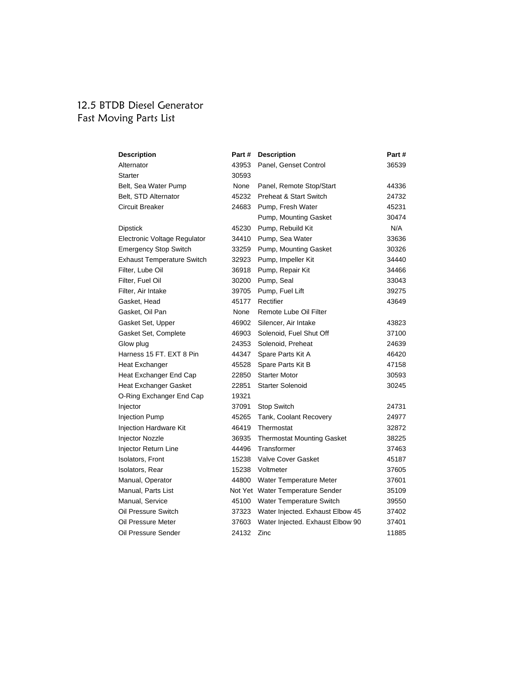# 12.5 BTDB Diesel Generator Fast Moving Parts List

| <b>Description</b>                | Part # | <b>Description</b>                | Part# |
|-----------------------------------|--------|-----------------------------------|-------|
| Alternator                        | 43953  | Panel, Genset Control             | 36539 |
| Starter                           | 30593  |                                   |       |
| Belt, Sea Water Pump              | None   | Panel, Remote Stop/Start          | 44336 |
| Belt, STD Alternator              | 45232  | <b>Preheat &amp; Start Switch</b> | 24732 |
| Circuit Breaker                   | 24683  | Pump, Fresh Water                 | 45231 |
|                                   |        | Pump, Mounting Gasket             | 30474 |
| Dipstick                          | 45230  | Pump, Rebuild Kit                 | N/A   |
| Electronic Voltage Regulator      | 34410  | Pump, Sea Water                   | 33636 |
| <b>Emergency Stop Switch</b>      | 33259  | Pump, Mounting Gasket             | 30326 |
| <b>Exhaust Temperature Switch</b> | 32923  | Pump, Impeller Kit                | 34440 |
| Filter, Lube Oil                  | 36918  | Pump, Repair Kit                  | 34466 |
| Filter, Fuel Oil                  | 30200  | Pump, Seal                        | 33043 |
| Filter, Air Intake                | 39705  | Pump, Fuel Lift                   | 39275 |
| Gasket, Head                      | 45177  | Rectifier                         | 43649 |
| Gasket, Oil Pan                   | None   | Remote Lube Oil Filter            |       |
| Gasket Set, Upper                 | 46902  | Silencer, Air Intake              | 43823 |
| Gasket Set, Complete              | 46903  | Solenoid, Fuel Shut Off           | 37100 |
| Glow plug                         | 24353  | Solenoid, Preheat                 | 24639 |
| Harness 15 FT, EXT 8 Pin          | 44347  | Spare Parts Kit A                 | 46420 |
| Heat Exchanger                    | 45528  | Spare Parts Kit B                 | 47158 |
| Heat Exchanger End Cap            | 22850  | <b>Starter Motor</b>              | 30593 |
| <b>Heat Exchanger Gasket</b>      | 22851  | <b>Starter Solenoid</b>           | 30245 |
| O-Ring Exchanger End Cap          | 19321  |                                   |       |
| Injector                          | 37091  | Stop Switch                       | 24731 |
| <b>Injection Pump</b>             | 45265  | Tank, Coolant Recovery            | 24977 |
| Injection Hardware Kit            | 46419  | Thermostat                        | 32872 |
| Injector Nozzle                   | 36935  | <b>Thermostat Mounting Gasket</b> | 38225 |
| Injector Return Line              | 44496  | Transformer                       | 37463 |
| <b>Isolators, Front</b>           | 15238  | <b>Valve Cover Gasket</b>         | 45187 |
| Isolators, Rear                   | 15238  | Voltmeter                         | 37605 |
| Manual, Operator                  | 44800  | Water Temperature Meter           | 37601 |
| Manual, Parts List                |        | Not Yet Water Temperature Sender  | 35109 |
| Manual, Service                   |        | 45100 Water Temperature Switch    | 39550 |
| Oil Pressure Switch               | 37323  | Water Injected. Exhaust Elbow 45  | 37402 |
| Oil Pressure Meter                | 37603  | Water Injected. Exhaust Elbow 90  | 37401 |
| Oil Pressure Sender               | 24132  | Zinc                              | 11885 |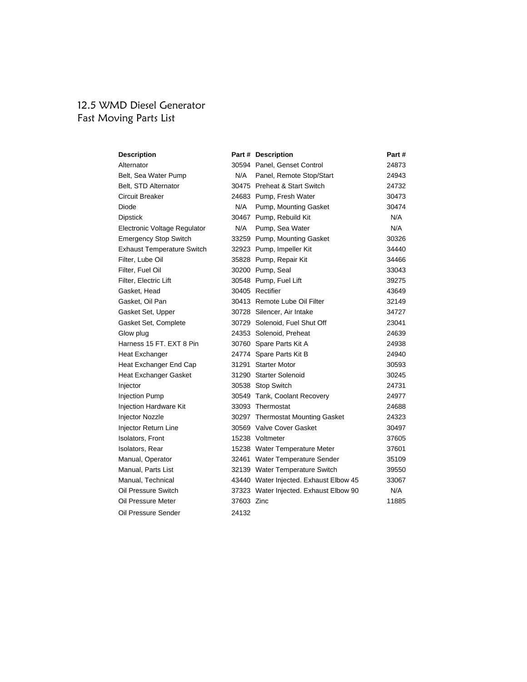## 12.5 WMD Diesel Generator Fast Moving Parts List

| <b>Description</b>                |            | Part # Description                     | Part# |
|-----------------------------------|------------|----------------------------------------|-------|
| Alternator                        |            | 30594 Panel, Genset Control            | 24873 |
| Belt, Sea Water Pump              | N/A        | Panel, Remote Stop/Start               | 24943 |
| Belt, STD Alternator              |            | 30475 Preheat & Start Switch           | 24732 |
| Circuit Breaker                   |            | 24683 Pump, Fresh Water                | 30473 |
| Diode                             | N/A        | Pump, Mounting Gasket                  | 30474 |
| <b>Dipstick</b>                   |            | 30467 Pump, Rebuild Kit                | N/A   |
| Electronic Voltage Regulator      | N/A        | Pump, Sea Water                        | N/A   |
| <b>Emergency Stop Switch</b>      |            | 33259 Pump, Mounting Gasket            | 30326 |
| <b>Exhaust Temperature Switch</b> |            | 32923 Pump, Impeller Kit               | 34440 |
| Filter, Lube Oil                  |            | 35828 Pump, Repair Kit                 | 34466 |
| Filter, Fuel Oil                  |            | 30200 Pump, Seal                       | 33043 |
| Filter, Electric Lift             |            | 30548 Pump, Fuel Lift                  | 39275 |
| Gasket, Head                      |            | 30405 Rectifier                        | 43649 |
| Gasket, Oil Pan                   |            | 30413 Remote Lube Oil Filter           | 32149 |
| Gasket Set, Upper                 |            | 30728 Silencer, Air Intake             | 34727 |
| Gasket Set, Complete              |            | 30729 Solenoid, Fuel Shut Off          | 23041 |
| Glow plug                         |            | 24353 Solenoid, Preheat                | 24639 |
| Harness 15 FT, EXT 8 Pin          |            | 30760 Spare Parts Kit A                | 24938 |
| Heat Exchanger                    |            | 24774 Spare Parts Kit B                | 24940 |
| Heat Exchanger End Cap            |            | 31291 Starter Motor                    | 30593 |
| <b>Heat Exchanger Gasket</b>      |            | 31290 Starter Solenoid                 | 30245 |
| Injector                          |            | 30538 Stop Switch                      | 24731 |
| <b>Injection Pump</b>             |            | 30549 Tank, Coolant Recovery           | 24977 |
| Injection Hardware Kit            |            | 33093 Thermostat                       | 24688 |
| <b>Injector Nozzle</b>            |            | 30297 Thermostat Mounting Gasket       | 24323 |
| Injector Return Line              |            | 30569 Valve Cover Gasket               | 30497 |
| Isolators, Front                  |            | 15238 Voltmeter                        | 37605 |
| Isolators, Rear                   |            | 15238 Water Temperature Meter          | 37601 |
| Manual, Operator                  |            | 32461 Water Temperature Sender         | 35109 |
| Manual, Parts List                |            | 32139 Water Temperature Switch         | 39550 |
| Manual, Technical                 |            | 43440 Water Injected. Exhaust Elbow 45 | 33067 |
| Oil Pressure Switch               |            | 37323 Water Injected. Exhaust Elbow 90 | N/A   |
| Oil Pressure Meter                | 37603 Zinc |                                        | 11885 |
| Oil Pressure Sender               | 24132      |                                        |       |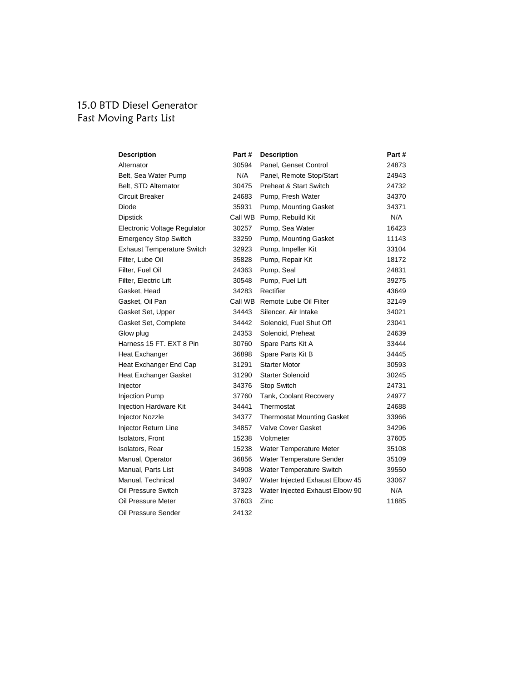# 15.0 BTD Diesel Generator Fast Moving Parts List

| <b>Description</b>                | Part#   | <b>Description</b>                | Part # |
|-----------------------------------|---------|-----------------------------------|--------|
| Alternator                        | 30594   | Panel, Genset Control             | 24873  |
| Belt, Sea Water Pump              | N/A     | Panel, Remote Stop/Start          | 24943  |
| Belt, STD Alternator              | 30475   | <b>Preheat &amp; Start Switch</b> | 24732  |
| Circuit Breaker                   | 24683   | Pump, Fresh Water                 | 34370  |
| Diode                             | 35931   | Pump, Mounting Gasket             | 34371  |
| <b>Dipstick</b>                   | Call WB | Pump, Rebuild Kit                 | N/A    |
| Electronic Voltage Regulator      | 30257   | Pump, Sea Water                   | 16423  |
| <b>Emergency Stop Switch</b>      | 33259   | Pump, Mounting Gasket             | 11143  |
| <b>Exhaust Temperature Switch</b> | 32923   | Pump, Impeller Kit                | 33104  |
| Filter, Lube Oil                  | 35828   | Pump, Repair Kit                  | 18172  |
| Filter, Fuel Oil                  | 24363   | Pump, Seal                        | 24831  |
| Filter, Electric Lift             | 30548   | Pump, Fuel Lift                   | 39275  |
| Gasket, Head                      | 34283   | Rectifier                         | 43649  |
| Gasket, Oil Pan                   | Call WB | Remote Lube Oil Filter            | 32149  |
| Gasket Set, Upper                 | 34443   | Silencer, Air Intake              | 34021  |
| Gasket Set, Complete              | 34442   | Solenoid, Fuel Shut Off           | 23041  |
| Glow plug                         | 24353   | Solenoid, Preheat                 | 24639  |
| Harness 15 FT. EXT 8 Pin          | 30760   | Spare Parts Kit A                 | 33444  |
| Heat Exchanger                    | 36898   | Spare Parts Kit B                 | 34445  |
| Heat Exchanger End Cap            | 31291   | <b>Starter Motor</b>              | 30593  |
| Heat Exchanger Gasket             | 31290   | <b>Starter Solenoid</b>           | 30245  |
| Injector                          | 34376   | Stop Switch                       | 24731  |
| <b>Injection Pump</b>             | 37760   | <b>Tank, Coolant Recovery</b>     | 24977  |
| Injection Hardware Kit            | 34441   | Thermostat                        | 24688  |
| <b>Injector Nozzle</b>            | 34377   | <b>Thermostat Mounting Gasket</b> | 33966  |
| Injector Return Line              | 34857   | <b>Valve Cover Gasket</b>         | 34296  |
| Isolators, Front                  | 15238   | Voltmeter                         | 37605  |
| Isolators, Rear                   | 15238   | Water Temperature Meter           | 35108  |
| Manual, Operator                  | 36856   | Water Temperature Sender          | 35109  |
| Manual, Parts List                | 34908   | Water Temperature Switch          | 39550  |
| Manual, Technical                 | 34907   | Water Injected Exhaust Elbow 45   | 33067  |
| Oil Pressure Switch               | 37323   | Water Injected Exhaust Elbow 90   | N/A    |
| Oil Pressure Meter                | 37603   | Zinc                              | 11885  |
| Oil Pressure Sender               | 24132   |                                   |        |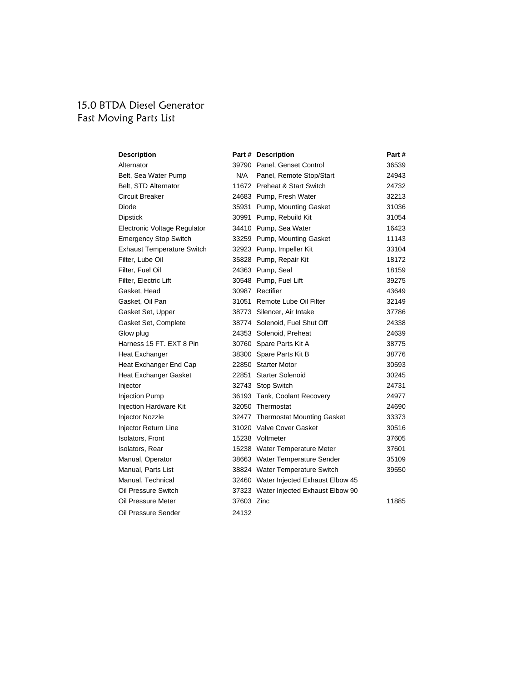#### 15.0 BTDA Diesel Generator Fast Moving Parts List

| <b>Description</b>                |            | Part # Description                    | Part# |
|-----------------------------------|------------|---------------------------------------|-------|
| Alternator                        |            | 39790 Panel, Genset Control           | 36539 |
| Belt, Sea Water Pump              | N/A        | Panel, Remote Stop/Start              | 24943 |
| Belt, STD Alternator              |            | 11672 Preheat & Start Switch          | 24732 |
| Circuit Breaker                   |            | 24683 Pump, Fresh Water               | 32213 |
| Diode                             |            | 35931 Pump, Mounting Gasket           | 31036 |
| <b>Dipstick</b>                   |            | 30991 Pump, Rebuild Kit               | 31054 |
| Electronic Voltage Regulator      |            | 34410 Pump, Sea Water                 | 16423 |
| <b>Emergency Stop Switch</b>      |            | 33259 Pump, Mounting Gasket           | 11143 |
| <b>Exhaust Temperature Switch</b> |            | 32923 Pump, Impeller Kit              | 33104 |
| Filter, Lube Oil                  |            | 35828 Pump, Repair Kit                | 18172 |
| Filter, Fuel Oil                  |            | 24363 Pump, Seal                      | 18159 |
| Filter, Electric Lift             |            | 30548 Pump, Fuel Lift                 | 39275 |
| Gasket, Head                      |            | 30987 Rectifier                       | 43649 |
| Gasket, Oil Pan                   |            | 31051 Remote Lube Oil Filter          | 32149 |
| Gasket Set, Upper                 |            | 38773 Silencer, Air Intake            | 37786 |
| Gasket Set, Complete              |            | 38774 Solenoid, Fuel Shut Off         | 24338 |
| Glow plug                         |            | 24353 Solenoid, Preheat               | 24639 |
| Harness 15 FT, EXT 8 Pin          |            | 30760 Spare Parts Kit A               | 38775 |
| Heat Exchanger                    |            | 38300 Spare Parts Kit B               | 38776 |
| Heat Exchanger End Cap            |            | 22850 Starter Motor                   | 30593 |
| Heat Exchanger Gasket             |            | 22851 Starter Solenoid                | 30245 |
| Injector                          |            | 32743 Stop Switch                     | 24731 |
| <b>Injection Pump</b>             |            | 36193 Tank, Coolant Recovery          | 24977 |
| Injection Hardware Kit            |            | 32050 Thermostat                      | 24690 |
| Injector Nozzle                   |            | 32477 Thermostat Mounting Gasket      | 33373 |
| Injector Return Line              |            | 31020 Valve Cover Gasket              | 30516 |
| Isolators, Front                  |            | 15238 Voltmeter                       | 37605 |
| Isolators, Rear                   |            | 15238 Water Temperature Meter         | 37601 |
| Manual, Operator                  |            | 38663 Water Temperature Sender        | 35109 |
| Manual, Parts List                |            | 38824 Water Temperature Switch        | 39550 |
| Manual, Technical                 |            | 32460 Water Injected Exhaust Elbow 45 |       |
| Oil Pressure Switch               |            | 37323 Water Injected Exhaust Elbow 90 |       |
| Oil Pressure Meter                | 37603 Zinc |                                       | 11885 |
| Oil Pressure Sender               | 24132      |                                       |       |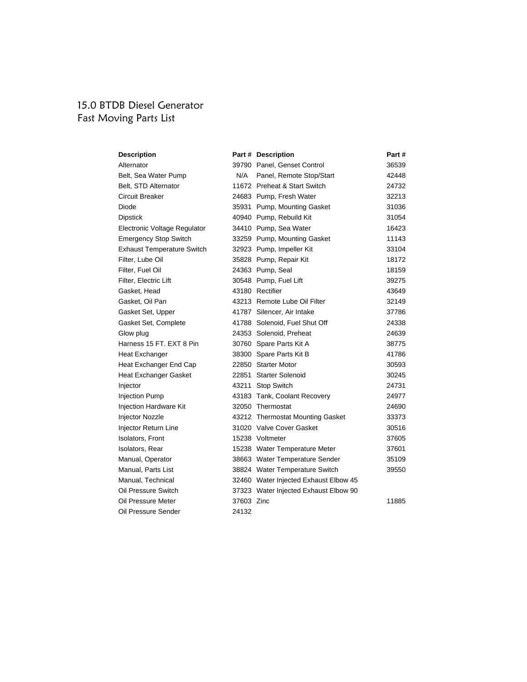#### 15.0 BTDB Diesel Generator Fast Moving Parts List

| <b>Description</b>                |            | Part # Description                    | Part# |
|-----------------------------------|------------|---------------------------------------|-------|
| Alternator                        |            | 39790 Panel, Genset Control           | 36539 |
| Belt, Sea Water Pump              | N/A        | Panel, Remote Stop/Start              | 42448 |
| Belt, STD Alternator              |            | 11672 Preheat & Start Switch          | 24732 |
| Circuit Breaker                   |            | 24683 Pump, Fresh Water               | 32213 |
| Diode                             |            | 35931 Pump, Mounting Gasket           | 31036 |
| <b>Dipstick</b>                   |            | 40940 Pump, Rebuild Kit               | 31054 |
| Electronic Voltage Regulator      |            | 34410 Pump, Sea Water                 | 16423 |
| <b>Emergency Stop Switch</b>      |            | 33259 Pump, Mounting Gasket           | 11143 |
| <b>Exhaust Temperature Switch</b> |            | 32923 Pump, Impeller Kit              | 33104 |
| Filter, Lube Oil                  |            | 35828 Pump, Repair Kit                | 18172 |
| Filter, Fuel Oil                  |            | 24363 Pump, Seal                      | 18159 |
| Filter, Electric Lift             |            | 30548 Pump, Fuel Lift                 | 39275 |
| Gasket, Head                      |            | 43180 Rectifier                       | 43649 |
| Gasket, Oil Pan                   |            | 43213 Remote Lube Oil Filter          | 32149 |
| Gasket Set, Upper                 |            | 41787 Silencer, Air Intake            | 37786 |
| Gasket Set, Complete              |            | 41788 Solenoid, Fuel Shut Off         | 24338 |
| Glow plug                         |            | 24353 Solenoid, Preheat               | 24639 |
| Harness 15 FT, EXT 8 Pin          |            | 30760 Spare Parts Kit A               | 38775 |
| Heat Exchanger                    |            | 38300 Spare Parts Kit B               | 41786 |
| Heat Exchanger End Cap            |            | 22850 Starter Motor                   | 30593 |
| Heat Exchanger Gasket             |            | 22851 Starter Solenoid                | 30245 |
| Injector                          |            | 43211 Stop Switch                     | 24731 |
| <b>Injection Pump</b>             |            | 43183 Tank, Coolant Recovery          | 24977 |
| Injection Hardware Kit            |            | 32050 Thermostat                      | 24690 |
| <b>Injector Nozzle</b>            |            | 43212 Thermostat Mounting Gasket      | 33373 |
| Injector Return Line              |            | 31020 Valve Cover Gasket              | 30516 |
| Isolators, Front                  |            | 15238 Voltmeter                       | 37605 |
| Isolators, Rear                   |            | 15238 Water Temperature Meter         | 37601 |
| Manual, Operator                  |            | 38663 Water Temperature Sender        | 35109 |
| Manual, Parts List                |            | 38824 Water Temperature Switch        | 39550 |
| Manual, Technical                 |            | 32460 Water Injected Exhaust Elbow 45 |       |
| Oil Pressure Switch               |            | 37323 Water Injected Exhaust Elbow 90 |       |
| Oil Pressure Meter                | 37603 Zinc |                                       | 11885 |
| Oil Pressure Sender               | 24132      |                                       |       |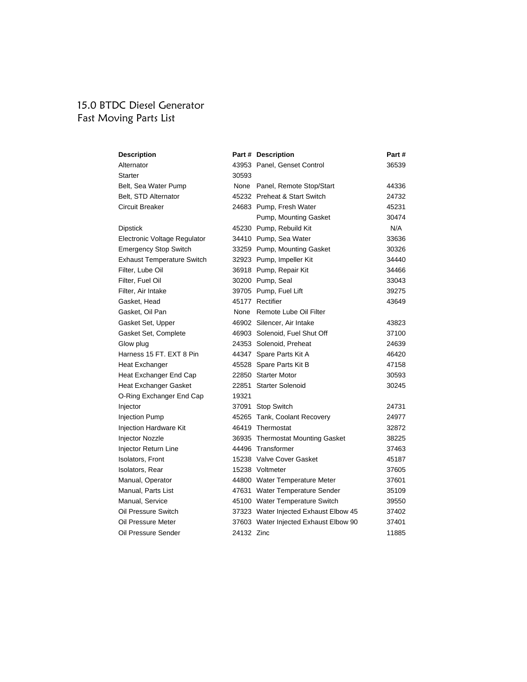## 15.0 BTDC Diesel Generator Fast Moving Parts List

| <b>Description</b>                |            | Part # Description                    | Part # |
|-----------------------------------|------------|---------------------------------------|--------|
| Alternator                        |            | 43953 Panel, Genset Control           | 36539  |
| Starter                           | 30593      |                                       |        |
| Belt, Sea Water Pump              |            | None Panel, Remote Stop/Start         | 44336  |
| Belt, STD Alternator              |            | 45232 Preheat & Start Switch          | 24732  |
| Circuit Breaker                   |            | 24683 Pump, Fresh Water               | 45231  |
|                                   |            | Pump, Mounting Gasket                 | 30474  |
| <b>Dipstick</b>                   |            | 45230 Pump, Rebuild Kit               | N/A    |
| Electronic Voltage Regulator      |            | 34410 Pump, Sea Water                 | 33636  |
| <b>Emergency Stop Switch</b>      |            | 33259 Pump, Mounting Gasket           | 30326  |
| <b>Exhaust Temperature Switch</b> |            | 32923 Pump, Impeller Kit              | 34440  |
| Filter, Lube Oil                  |            | 36918 Pump, Repair Kit                | 34466  |
| Filter, Fuel Oil                  |            | 30200 Pump, Seal                      | 33043  |
| Filter, Air Intake                |            | 39705 Pump, Fuel Lift                 | 39275  |
| Gasket, Head                      |            | 45177 Rectifier                       | 43649  |
| Gasket, Oil Pan                   |            | None Remote Lube Oil Filter           |        |
| Gasket Set, Upper                 |            | 46902 Silencer, Air Intake            | 43823  |
| Gasket Set, Complete              |            | 46903 Solenoid, Fuel Shut Off         | 37100  |
| Glow plug                         |            | 24353 Solenoid, Preheat               | 24639  |
| Harness 15 FT. EXT 8 Pin          |            | 44347 Spare Parts Kit A               | 46420  |
| Heat Exchanger                    |            | 45528 Spare Parts Kit B               | 47158  |
| Heat Exchanger End Cap            |            | 22850 Starter Motor                   | 30593  |
| Heat Exchanger Gasket             |            | 22851 Starter Solenoid                | 30245  |
| O-Ring Exchanger End Cap          | 19321      |                                       |        |
| Injector                          |            | 37091 Stop Switch                     | 24731  |
| <b>Injection Pump</b>             |            | 45265 Tank, Coolant Recovery          | 24977  |
| <b>Injection Hardware Kit</b>     |            | 46419 Thermostat                      | 32872  |
| Injector Nozzle                   |            | 36935 Thermostat Mounting Gasket      | 38225  |
| Injector Return Line              |            | 44496 Transformer                     | 37463  |
| Isolators, Front                  |            | 15238 Valve Cover Gasket              | 45187  |
| Isolators, Rear                   |            | 15238 Voltmeter                       | 37605  |
| Manual, Operator                  |            | 44800 Water Temperature Meter         | 37601  |
| Manual, Parts List                |            | 47631 Water Temperature Sender        | 35109  |
| Manual, Service                   |            | 45100 Water Temperature Switch        | 39550  |
| Oil Pressure Switch               |            | 37323 Water Injected Exhaust Elbow 45 | 37402  |
| Oil Pressure Meter                |            | 37603 Water Injected Exhaust Elbow 90 | 37401  |
| Oil Pressure Sender               | 24132 Zinc |                                       | 11885  |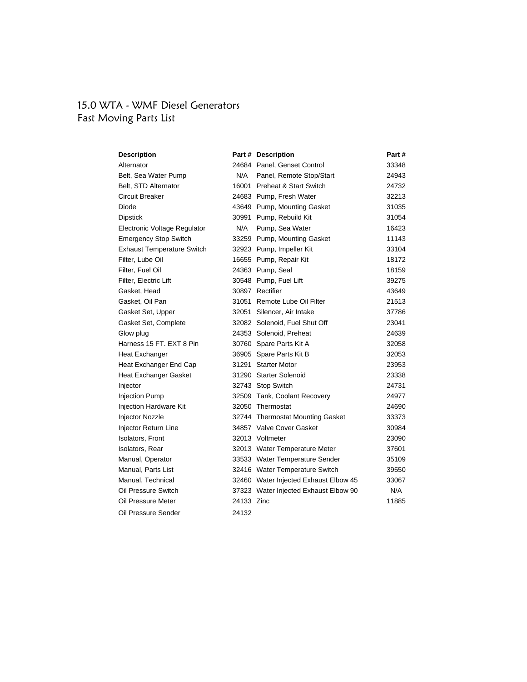## 15.0 WTA - WMF Diesel Generators Fast Moving Parts List

| <b>Description</b>                |            | Part # Description                    | Part # |
|-----------------------------------|------------|---------------------------------------|--------|
| Alternator                        |            | 24684 Panel, Genset Control           | 33348  |
| Belt, Sea Water Pump              | N/A        | Panel, Remote Stop/Start              | 24943  |
| Belt, STD Alternator              |            | 16001 Preheat & Start Switch          | 24732  |
| Circuit Breaker                   |            | 24683 Pump, Fresh Water               | 32213  |
| Diode                             |            | 43649 Pump, Mounting Gasket           | 31035  |
| <b>Dipstick</b>                   |            | 30991 Pump, Rebuild Kit               | 31054  |
| Electronic Voltage Regulator      | N/A        | Pump, Sea Water                       | 16423  |
| <b>Emergency Stop Switch</b>      |            | 33259 Pump, Mounting Gasket           | 11143  |
| <b>Exhaust Temperature Switch</b> |            | 32923 Pump, Impeller Kit              | 33104  |
| Filter, Lube Oil                  |            | 16655 Pump, Repair Kit                | 18172  |
| Filter, Fuel Oil                  |            | 24363 Pump, Seal                      | 18159  |
| Filter, Electric Lift             |            | 30548 Pump, Fuel Lift                 | 39275  |
| Gasket, Head                      |            | 30897 Rectifier                       | 43649  |
| Gasket, Oil Pan                   |            | 31051 Remote Lube Oil Filter          | 21513  |
| Gasket Set, Upper                 |            | 32051 Silencer, Air Intake            | 37786  |
| Gasket Set, Complete              |            | 32082 Solenoid, Fuel Shut Off         | 23041  |
| Glow plug                         |            | 24353 Solenoid, Preheat               | 24639  |
| Harness 15 FT, EXT 8 Pin          |            | 30760 Spare Parts Kit A               | 32058  |
| Heat Exchanger                    |            | 36905 Spare Parts Kit B               | 32053  |
| Heat Exchanger End Cap            |            | 31291 Starter Motor                   | 23953  |
| Heat Exchanger Gasket             |            | 31290 Starter Solenoid                | 23338  |
| Injector                          |            | 32743 Stop Switch                     | 24731  |
| <b>Injection Pump</b>             |            | 32509 Tank, Coolant Recovery          | 24977  |
| Injection Hardware Kit            |            | 32050 Thermostat                      | 24690  |
| <b>Injector Nozzle</b>            |            | 32744 Thermostat Mounting Gasket      | 33373  |
| Injector Return Line              |            | 34857 Valve Cover Gasket              | 30984  |
| Isolators, Front                  |            | 32013 Voltmeter                       | 23090  |
| Isolators, Rear                   |            | 32013 Water Temperature Meter         | 37601  |
| Manual, Operator                  |            | 33533 Water Temperature Sender        | 35109  |
| Manual, Parts List                |            | 32416 Water Temperature Switch        | 39550  |
| Manual, Technical                 |            | 32460 Water Injected Exhaust Elbow 45 | 33067  |
| Oil Pressure Switch               |            | 37323 Water Injected Exhaust Elbow 90 | N/A    |
| Oil Pressure Meter                | 24133 Zinc |                                       | 11885  |
| Oil Pressure Sender               | 24132      |                                       |        |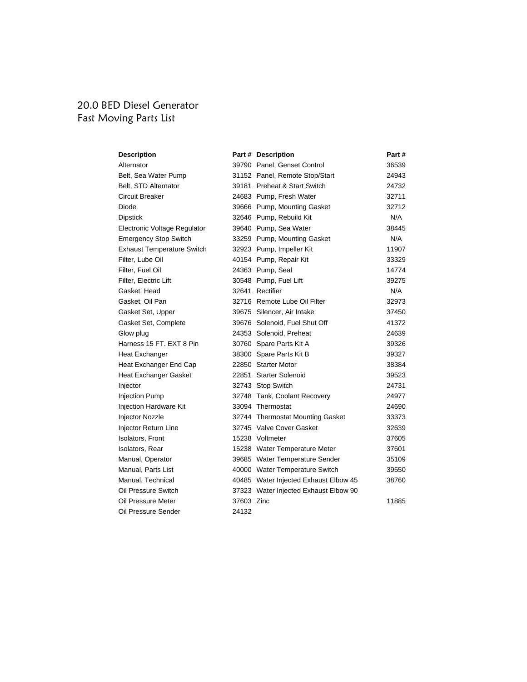#### 20.0 BED Diesel Generator Fast Moving Parts List

| <b>Description</b>                |            | Part # Description                    | Part# |
|-----------------------------------|------------|---------------------------------------|-------|
| Alternator                        |            | 39790 Panel, Genset Control           | 36539 |
| Belt, Sea Water Pump              |            | 31152 Panel, Remote Stop/Start        | 24943 |
| Belt, STD Alternator              |            | 39181 Preheat & Start Switch          | 24732 |
| Circuit Breaker                   |            | 24683 Pump, Fresh Water               | 32711 |
| Diode                             |            | 39666 Pump, Mounting Gasket           | 32712 |
| <b>Dipstick</b>                   |            | 32646 Pump, Rebuild Kit               | N/A   |
| Electronic Voltage Regulator      |            | 39640 Pump, Sea Water                 | 38445 |
| <b>Emergency Stop Switch</b>      |            | 33259 Pump, Mounting Gasket           | N/A   |
| <b>Exhaust Temperature Switch</b> |            | 32923 Pump, Impeller Kit              | 11907 |
| Filter, Lube Oil                  |            | 40154 Pump, Repair Kit                | 33329 |
| Filter, Fuel Oil                  |            | 24363 Pump, Seal                      | 14774 |
| Filter, Electric Lift             |            | 30548 Pump, Fuel Lift                 | 39275 |
| Gasket, Head                      |            | 32641 Rectifier                       | N/A   |
| Gasket, Oil Pan                   |            | 32716 Remote Lube Oil Filter          | 32973 |
| Gasket Set, Upper                 |            | 39675 Silencer, Air Intake            | 37450 |
| Gasket Set, Complete              |            | 39676 Solenoid, Fuel Shut Off         | 41372 |
| Glow plug                         |            | 24353 Solenoid, Preheat               | 24639 |
| Harness 15 FT, EXT 8 Pin          |            | 30760 Spare Parts Kit A               | 39326 |
| Heat Exchanger                    |            | 38300 Spare Parts Kit B               | 39327 |
| Heat Exchanger End Cap            |            | 22850 Starter Motor                   | 38384 |
| Heat Exchanger Gasket             |            | 22851 Starter Solenoid                | 39523 |
| Injector                          |            | 32743 Stop Switch                     | 24731 |
| <b>Injection Pump</b>             |            | 32748 Tank, Coolant Recovery          | 24977 |
| Injection Hardware Kit            |            | 33094 Thermostat                      | 24690 |
| <b>Injector Nozzle</b>            |            | 32744 Thermostat Mounting Gasket      | 33373 |
| Injector Return Line              |            | 32745 Valve Cover Gasket              | 32639 |
| Isolators, Front                  |            | 15238 Voltmeter                       | 37605 |
| Isolators, Rear                   |            | 15238 Water Temperature Meter         | 37601 |
| Manual, Operator                  |            | 39685 Water Temperature Sender        | 35109 |
| Manual, Parts List                |            | 40000 Water Temperature Switch        | 39550 |
| Manual, Technical                 |            | 40485 Water Injected Exhaust Elbow 45 | 38760 |
| Oil Pressure Switch               |            | 37323 Water Injected Exhaust Elbow 90 |       |
| Oil Pressure Meter                | 37603 Zinc |                                       | 11885 |
| Oil Pressure Sender               | 24132      |                                       |       |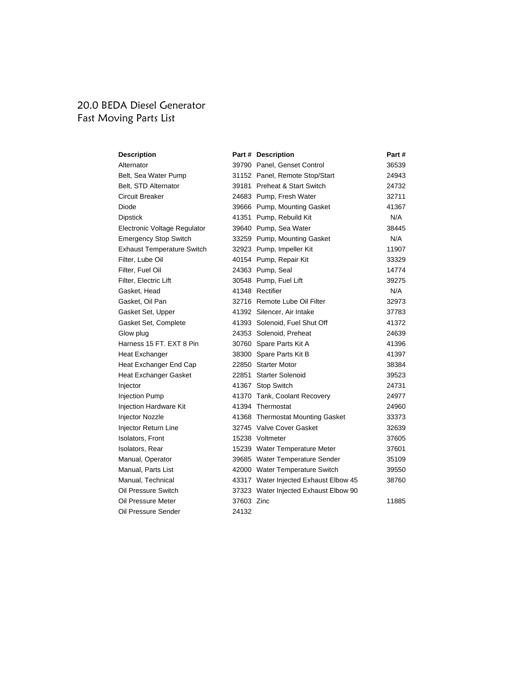## 20.0 BEDA Diesel Generator Fast Moving Parts List

| <b>Description</b>                |            | Part # Description                    | Part# |
|-----------------------------------|------------|---------------------------------------|-------|
| Alternator                        |            | 39790 Panel, Genset Control           | 36539 |
| Belt, Sea Water Pump              |            | 31152 Panel, Remote Stop/Start        | 24943 |
| Belt, STD Alternator              |            | 39181 Preheat & Start Switch          | 24732 |
| Circuit Breaker                   |            | 24683 Pump, Fresh Water               | 32711 |
| Diode                             |            | 39666 Pump, Mounting Gasket           | 41367 |
| <b>Dipstick</b>                   |            | 41351 Pump, Rebuild Kit               | N/A   |
| Electronic Voltage Regulator      |            | 39640 Pump, Sea Water                 | 38445 |
| <b>Emergency Stop Switch</b>      |            | 33259 Pump, Mounting Gasket           | N/A   |
| <b>Exhaust Temperature Switch</b> |            | 32923 Pump, Impeller Kit              | 11907 |
| Filter, Lube Oil                  |            | 40154 Pump, Repair Kit                | 33329 |
| Filter, Fuel Oil                  |            | 24363 Pump, Seal                      | 14774 |
| Filter, Electric Lift             |            | 30548 Pump, Fuel Lift                 | 39275 |
| Gasket, Head                      |            | 41348 Rectifier                       | N/A   |
| Gasket, Oil Pan                   |            | 32716 Remote Lube Oil Filter          | 32973 |
| Gasket Set, Upper                 |            | 41392 Silencer, Air Intake            | 37783 |
| Gasket Set, Complete              |            | 41393 Solenoid, Fuel Shut Off         | 41372 |
| Glow plug                         |            | 24353 Solenoid, Preheat               | 24639 |
| Harness 15 FT, EXT 8 Pin          |            | 30760 Spare Parts Kit A               | 41396 |
| Heat Exchanger                    |            | 38300 Spare Parts Kit B               | 41397 |
| Heat Exchanger End Cap            |            | 22850 Starter Motor                   | 38384 |
| Heat Exchanger Gasket             |            | 22851 Starter Solenoid                | 39523 |
| Injector                          |            | 41367 Stop Switch                     | 24731 |
| <b>Injection Pump</b>             |            | 41370 Tank, Coolant Recovery          | 24977 |
| Injection Hardware Kit            |            | 41394 Thermostat                      | 24960 |
| <b>Injector Nozzle</b>            |            | 41368 Thermostat Mounting Gasket      | 33373 |
| Injector Return Line              |            | 32745 Valve Cover Gasket              | 32639 |
| <b>Isolators, Front</b>           |            | 15238 Voltmeter                       | 37605 |
| Isolators, Rear                   |            | 15239 Water Temperature Meter         | 37601 |
| Manual, Operator                  |            | 39685 Water Temperature Sender        | 35109 |
| Manual, Parts List                |            | 42000 Water Temperature Switch        | 39550 |
| Manual, Technical                 |            | 43317 Water Injected Exhaust Elbow 45 | 38760 |
| Oil Pressure Switch               |            | 37323 Water Injected Exhaust Elbow 90 |       |
| Oil Pressure Meter                | 37603 Zinc |                                       | 11885 |
| Oil Pressure Sender               | 24132      |                                       |       |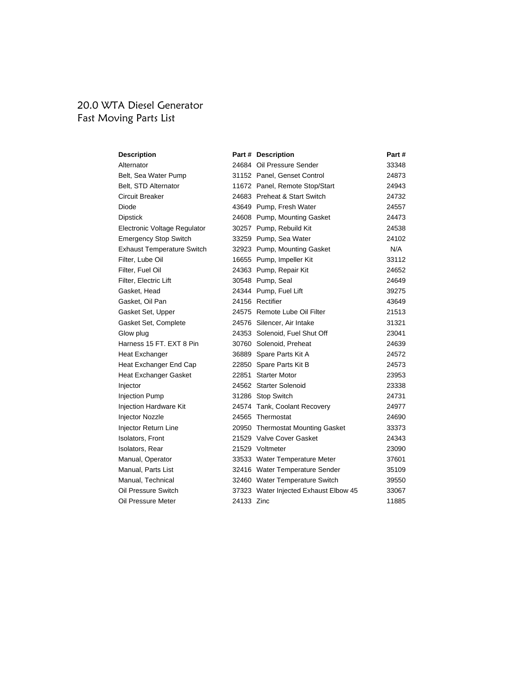#### 20.0 WTA Diesel Generator Fast Moving Parts List

| <b>Description</b>                |            | Part # Description                    | Part # |
|-----------------------------------|------------|---------------------------------------|--------|
| Alternator                        |            | 24684 Oil Pressure Sender             | 33348  |
| Belt, Sea Water Pump              |            | 31152 Panel, Genset Control           | 24873  |
| Belt, STD Alternator              |            | 11672 Panel, Remote Stop/Start        | 24943  |
| Circuit Breaker                   |            | 24683 Preheat & Start Switch          | 24732  |
| Diode                             |            | 43649 Pump, Fresh Water               | 24557  |
| <b>Dipstick</b>                   |            | 24608 Pump, Mounting Gasket           | 24473  |
| Electronic Voltage Regulator      |            | 30257 Pump, Rebuild Kit               | 24538  |
| <b>Emergency Stop Switch</b>      |            | 33259 Pump, Sea Water                 | 24102  |
| <b>Exhaust Temperature Switch</b> |            | 32923 Pump, Mounting Gasket           | N/A    |
| Filter, Lube Oil                  |            | 16655 Pump, Impeller Kit              | 33112  |
| Filter, Fuel Oil                  |            | 24363 Pump, Repair Kit                | 24652  |
| Filter, Electric Lift             |            | 30548 Pump, Seal                      | 24649  |
| Gasket, Head                      |            | 24344 Pump, Fuel Lift                 | 39275  |
| Gasket, Oil Pan                   |            | 24156 Rectifier                       | 43649  |
| Gasket Set, Upper                 |            | 24575 Remote Lube Oil Filter          | 21513  |
| Gasket Set, Complete              |            | 24576 Silencer, Air Intake            | 31321  |
| Glow plug                         |            | 24353 Solenoid, Fuel Shut Off         | 23041  |
| Harness 15 FT, EXT 8 Pin          |            | 30760 Solenoid, Preheat               | 24639  |
| Heat Exchanger                    |            | 36889 Spare Parts Kit A               | 24572  |
| Heat Exchanger End Cap            |            | 22850 Spare Parts Kit B               | 24573  |
| Heat Exchanger Gasket             |            | 22851 Starter Motor                   | 23953  |
| Injector                          |            | 24562 Starter Solenoid                | 23338  |
| <b>Injection Pump</b>             |            | 31286 Stop Switch                     | 24731  |
| Injection Hardware Kit            |            | 24574 Tank, Coolant Recovery          | 24977  |
| Injector Nozzle                   |            | 24565 Thermostat                      | 24690  |
| Injector Return Line              |            | 20950 Thermostat Mounting Gasket      | 33373  |
| <b>Isolators, Front</b>           |            | 21529 Valve Cover Gasket              | 24343  |
| Isolators, Rear                   |            | 21529 Voltmeter                       | 23090  |
| Manual, Operator                  |            | 33533 Water Temperature Meter         | 37601  |
| Manual, Parts List                |            | 32416 Water Temperature Sender        | 35109  |
| Manual, Technical                 |            | 32460 Water Temperature Switch        | 39550  |
| Oil Pressure Switch               |            | 37323 Water Injected Exhaust Elbow 45 | 33067  |
| Oil Pressure Meter                | 24133 Zinc |                                       | 11885  |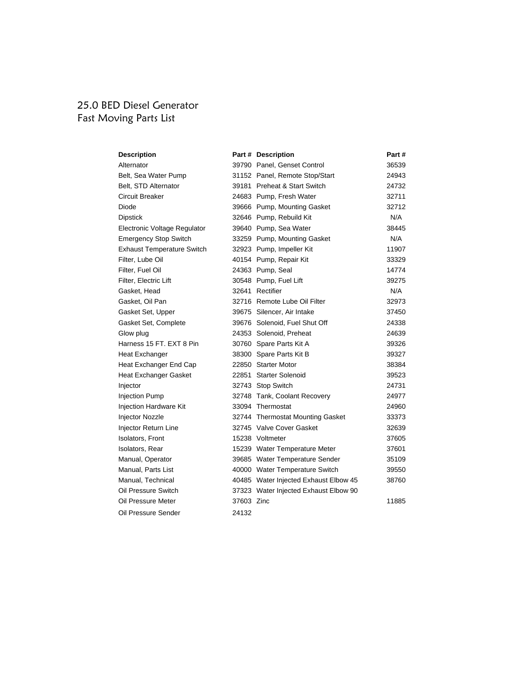# 25.0 BED Diesel Generator Fast Moving Parts List

| <b>Description</b>                |            | Part # Description                    | Part# |
|-----------------------------------|------------|---------------------------------------|-------|
| Alternator                        |            | 39790 Panel, Genset Control           | 36539 |
| Belt, Sea Water Pump              |            | 31152 Panel, Remote Stop/Start        | 24943 |
| Belt, STD Alternator              |            | 39181 Preheat & Start Switch          | 24732 |
| Circuit Breaker                   |            | 24683 Pump, Fresh Water               | 32711 |
| Diode                             |            | 39666 Pump, Mounting Gasket           | 32712 |
| <b>Dipstick</b>                   |            | 32646 Pump, Rebuild Kit               | N/A   |
| Electronic Voltage Regulator      |            | 39640 Pump, Sea Water                 | 38445 |
| <b>Emergency Stop Switch</b>      |            | 33259 Pump, Mounting Gasket           | N/A   |
| <b>Exhaust Temperature Switch</b> |            | 32923 Pump, Impeller Kit              | 11907 |
| Filter, Lube Oil                  |            | 40154 Pump, Repair Kit                | 33329 |
| Filter, Fuel Oil                  |            | 24363 Pump, Seal                      | 14774 |
| Filter, Electric Lift             |            | 30548 Pump, Fuel Lift                 | 39275 |
| Gasket, Head                      |            | 32641 Rectifier                       | N/A   |
| Gasket, Oil Pan                   |            | 32716 Remote Lube Oil Filter          | 32973 |
| Gasket Set, Upper                 |            | 39675 Silencer, Air Intake            | 37450 |
| Gasket Set, Complete              |            | 39676 Solenoid, Fuel Shut Off         | 24338 |
| Glow plug                         |            | 24353 Solenoid, Preheat               | 24639 |
| Harness 15 FT, EXT 8 Pin          |            | 30760 Spare Parts Kit A               | 39326 |
| Heat Exchanger                    |            | 38300 Spare Parts Kit B               | 39327 |
| Heat Exchanger End Cap            |            | 22850 Starter Motor                   | 38384 |
| Heat Exchanger Gasket             |            | 22851 Starter Solenoid                | 39523 |
| Injector                          |            | 32743 Stop Switch                     | 24731 |
| <b>Injection Pump</b>             |            | 32748 Tank, Coolant Recovery          | 24977 |
| Injection Hardware Kit            |            | 33094 Thermostat                      | 24960 |
| <b>Injector Nozzle</b>            |            | 32744 Thermostat Mounting Gasket      | 33373 |
| Injector Return Line              |            | 32745 Valve Cover Gasket              | 32639 |
| Isolators, Front                  |            | 15238 Voltmeter                       | 37605 |
| Isolators, Rear                   |            | 15239 Water Temperature Meter         | 37601 |
| Manual, Operator                  |            | 39685 Water Temperature Sender        | 35109 |
| Manual, Parts List                |            | 40000 Water Temperature Switch        | 39550 |
| Manual, Technical                 |            | 40485 Water Injected Exhaust Elbow 45 | 38760 |
| Oil Pressure Switch               |            | 37323 Water Injected Exhaust Elbow 90 |       |
| Oil Pressure Meter                | 37603 Zinc |                                       | 11885 |
| Oil Pressure Sender               | 24132      |                                       |       |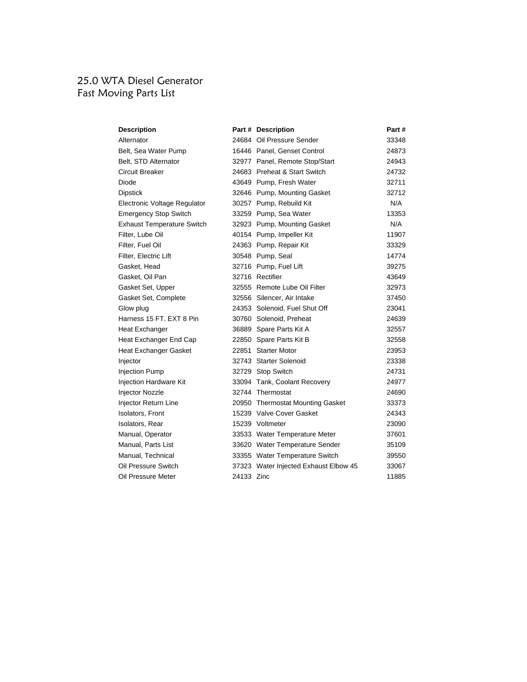# 25.0 WTA Diesel Generator Fast Moving Parts List

| <b>Description</b>                |            | Part # Description                    | Part# |
|-----------------------------------|------------|---------------------------------------|-------|
| Alternator                        |            | 24684 Oil Pressure Sender             | 33348 |
| Belt, Sea Water Pump              |            | 16446 Panel. Genset Control           | 24873 |
| Belt, STD Alternator              |            | 32977 Panel, Remote Stop/Start        | 24943 |
| Circuit Breaker                   |            | 24683 Preheat & Start Switch          | 24732 |
| Diode                             |            | 43649 Pump, Fresh Water               | 32711 |
| Dipstick                          |            | 32646 Pump, Mounting Gasket           | 32712 |
| Electronic Voltage Regulator      |            | 30257 Pump, Rebuild Kit               | N/A   |
| <b>Emergency Stop Switch</b>      |            | 33259 Pump, Sea Water                 | 13353 |
| <b>Exhaust Temperature Switch</b> |            | 32923 Pump, Mounting Gasket           | N/A   |
| Filter, Lube Oil                  |            | 40154 Pump, Impeller Kit              | 11907 |
| Filter, Fuel Oil                  |            | 24363 Pump, Repair Kit                | 33329 |
| Filter, Electric Lift             |            | 30548 Pump, Seal                      | 14774 |
| Gasket, Head                      |            | 32716 Pump, Fuel Lift                 | 39275 |
| Gasket, Oil Pan                   |            | 32716 Rectifier                       | 43649 |
| Gasket Set, Upper                 |            | 32555 Remote Lube Oil Filter          | 32973 |
| Gasket Set, Complete              |            | 32556 Silencer, Air Intake            | 37450 |
| Glow plug                         |            | 24353 Solenoid, Fuel Shut Off         | 23041 |
| Harness 15 FT. EXT 8 Pin          |            | 30760 Solenoid, Preheat               | 24639 |
| Heat Exchanger                    |            | 36889 Spare Parts Kit A               | 32557 |
| Heat Exchanger End Cap            |            | 22850 Spare Parts Kit B               | 32558 |
| Heat Exchanger Gasket             |            | 22851 Starter Motor                   | 23953 |
| Injector                          |            | 32743 Starter Solenoid                | 23338 |
| <b>Injection Pump</b>             |            | 32729 Stop Switch                     | 24731 |
| <b>Injection Hardware Kit</b>     |            | 33094 Tank, Coolant Recovery          | 24977 |
| Injector Nozzle                   |            | 32744 Thermostat                      | 24690 |
| Injector Return Line              |            | 20950 Thermostat Mounting Gasket      | 33373 |
| <b>Isolators, Front</b>           |            | 15239 Valve Cover Gasket              | 24343 |
| Isolators, Rear                   |            | 15239 Voltmeter                       | 23090 |
| Manual, Operator                  |            | 33533 Water Temperature Meter         | 37601 |
| Manual, Parts List                |            | 33620 Water Temperature Sender        | 35109 |
| Manual, Technical                 |            | 33355 Water Temperature Switch        | 39550 |
| Oil Pressure Switch               |            | 37323 Water Injected Exhaust Elbow 45 | 33067 |
| Oil Pressure Meter                | 24133 Zinc |                                       | 11885 |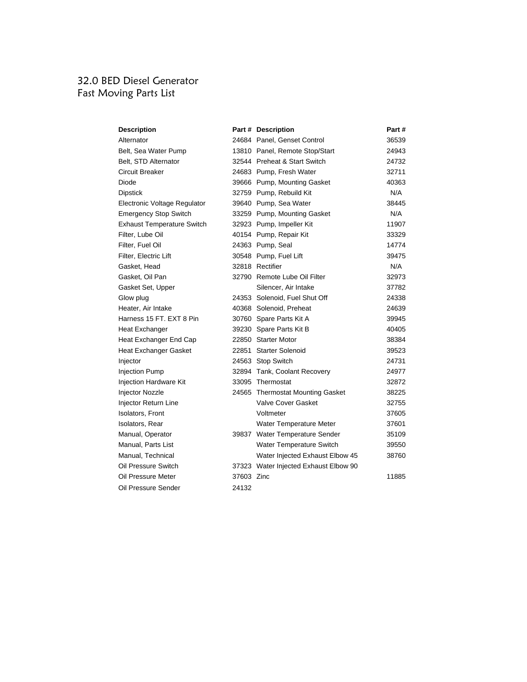# 32.0 BED Diesel Generator Fast Moving Parts List

| <b>Description</b>                |            | Part # Description                    | Part# |
|-----------------------------------|------------|---------------------------------------|-------|
| Alternator                        |            | 24684 Panel, Genset Control           | 36539 |
| Belt, Sea Water Pump              |            | 13810 Panel, Remote Stop/Start        | 24943 |
| Belt, STD Alternator              |            | 32544 Preheat & Start Switch          | 24732 |
| Circuit Breaker                   |            | 24683 Pump, Fresh Water               | 32711 |
| Diode                             |            | 39666 Pump, Mounting Gasket           | 40363 |
| Dipstick                          |            | 32759 Pump, Rebuild Kit               | N/A   |
| Electronic Voltage Regulator      |            | 39640 Pump, Sea Water                 | 38445 |
| <b>Emergency Stop Switch</b>      |            | 33259 Pump, Mounting Gasket           | N/A   |
| <b>Exhaust Temperature Switch</b> |            | 32923 Pump, Impeller Kit              | 11907 |
| Filter, Lube Oil                  |            | 40154 Pump, Repair Kit                | 33329 |
| Filter, Fuel Oil                  |            | 24363 Pump, Seal                      | 14774 |
| Filter, Electric Lift             |            | 30548 Pump, Fuel Lift                 | 39475 |
| Gasket, Head                      |            | 32818 Rectifier                       | N/A   |
| Gasket, Oil Pan                   |            | 32790 Remote Lube Oil Filter          | 32973 |
| Gasket Set, Upper                 |            | Silencer, Air Intake                  | 37782 |
| Glow plug                         |            | 24353 Solenoid, Fuel Shut Off         | 24338 |
| Heater, Air Intake                |            | 40368 Solenoid, Preheat               | 24639 |
| Harness 15 FT. EXT 8 Pin          |            | 30760 Spare Parts Kit A               | 39945 |
| Heat Exchanger                    |            | 39230 Spare Parts Kit B               | 40405 |
| Heat Exchanger End Cap            |            | 22850 Starter Motor                   | 38384 |
| Heat Exchanger Gasket             |            | 22851 Starter Solenoid                | 39523 |
| Injector                          |            | 24563 Stop Switch                     | 24731 |
| <b>Injection Pump</b>             |            | 32894 Tank, Coolant Recovery          | 24977 |
| <b>Injection Hardware Kit</b>     |            | 33095 Thermostat                      | 32872 |
| <b>Injector Nozzle</b>            |            | 24565 Thermostat Mounting Gasket      | 38225 |
| Injector Return Line              |            | <b>Valve Cover Gasket</b>             | 32755 |
| <b>Isolators, Front</b>           |            | Voltmeter                             | 37605 |
| <b>Isolators, Rear</b>            |            | Water Temperature Meter               | 37601 |
| Manual, Operator                  |            | 39837 Water Temperature Sender        | 35109 |
| Manual, Parts List                |            | Water Temperature Switch              | 39550 |
| Manual, Technical                 |            | Water Injected Exhaust Elbow 45       | 38760 |
| Oil Pressure Switch               |            | 37323 Water Injected Exhaust Elbow 90 |       |
| Oil Pressure Meter                | 37603 Zinc |                                       | 11885 |
| Oil Pressure Sender               | 24132      |                                       |       |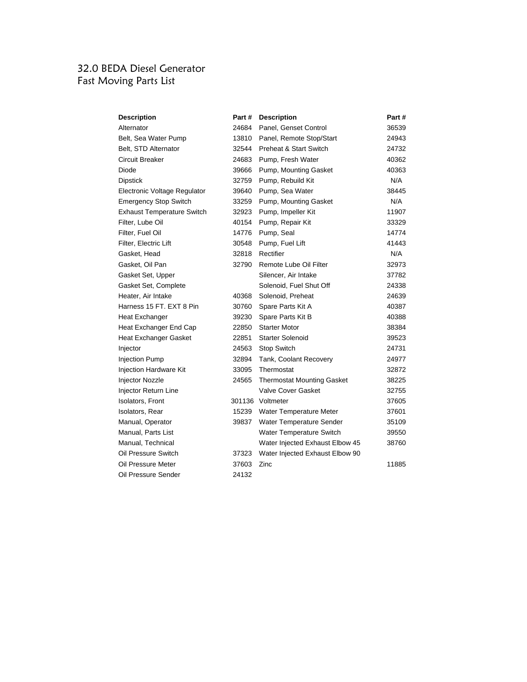# 32.0 BEDA Diesel Generator Fast Moving Parts List

| <b>Description</b>                | Part # | <b>Description</b>                | Part# |
|-----------------------------------|--------|-----------------------------------|-------|
| Alternator                        | 24684  | Panel, Genset Control             | 36539 |
| Belt, Sea Water Pump              | 13810  | Panel, Remote Stop/Start          | 24943 |
| Belt, STD Alternator              | 32544  | <b>Preheat &amp; Start Switch</b> | 24732 |
| Circuit Breaker                   | 24683  | Pump, Fresh Water                 | 40362 |
| Diode                             | 39666  | Pump, Mounting Gasket             | 40363 |
| Dipstick                          | 32759  | Pump, Rebuild Kit                 | N/A   |
| Electronic Voltage Regulator      | 39640  | Pump, Sea Water                   | 38445 |
| <b>Emergency Stop Switch</b>      | 33259  | Pump, Mounting Gasket             | N/A   |
| <b>Exhaust Temperature Switch</b> | 32923  | Pump, Impeller Kit                | 11907 |
| Filter, Lube Oil                  | 40154  | Pump, Repair Kit                  | 33329 |
| Filter, Fuel Oil                  | 14776  | Pump, Seal                        | 14774 |
| Filter, Electric Lift             | 30548  | Pump, Fuel Lift                   | 41443 |
| Gasket, Head                      | 32818  | Rectifier                         | N/A   |
| Gasket, Oil Pan                   | 32790  | Remote Lube Oil Filter            | 32973 |
| Gasket Set, Upper                 |        | Silencer, Air Intake              | 37782 |
| Gasket Set, Complete              |        | Solenoid, Fuel Shut Off           | 24338 |
| Heater, Air Intake                | 40368  | Solenoid, Preheat                 | 24639 |
| Harness 15 FT, EXT 8 Pin          | 30760  | Spare Parts Kit A                 | 40387 |
| Heat Exchanger                    | 39230  | Spare Parts Kit B                 | 40388 |
| Heat Exchanger End Cap            | 22850  | <b>Starter Motor</b>              | 38384 |
| Heat Exchanger Gasket             | 22851  | <b>Starter Solenoid</b>           | 39523 |
| Injector                          | 24563  | Stop Switch                       | 24731 |
| <b>Injection Pump</b>             | 32894  | Tank, Coolant Recovery            | 24977 |
| <b>Injection Hardware Kit</b>     | 33095  | Thermostat                        | 32872 |
| <b>Injector Nozzle</b>            | 24565  | <b>Thermostat Mounting Gasket</b> | 38225 |
| Injector Return Line              |        | <b>Valve Cover Gasket</b>         | 32755 |
| <b>Isolators, Front</b>           |        | 301136 Voltmeter                  | 37605 |
| Isolators, Rear                   | 15239  | Water Temperature Meter           | 37601 |
| Manual, Operator                  | 39837  | Water Temperature Sender          | 35109 |
| Manual, Parts List                |        | Water Temperature Switch          | 39550 |
| Manual, Technical                 |        | Water Injected Exhaust Elbow 45   | 38760 |
| Oil Pressure Switch               | 37323  | Water Injected Exhaust Elbow 90   |       |
| Oil Pressure Meter                | 37603  | Zinc                              | 11885 |
| Oil Pressure Sender               | 24132  |                                   |       |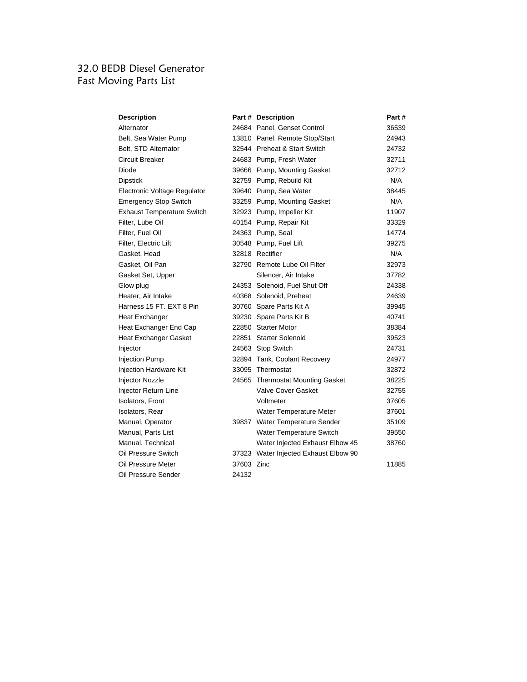# 32.0 BEDB Diesel Generator Fast Moving Parts List

| Description                       |            | Part # Description                    | Part # |
|-----------------------------------|------------|---------------------------------------|--------|
| Alternator                        |            | 24684 Panel, Genset Control           | 36539  |
| Belt, Sea Water Pump              |            | 13810 Panel, Remote Stop/Start        | 24943  |
| Belt, STD Alternator              |            | 32544 Preheat & Start Switch          | 24732  |
| Circuit Breaker                   |            | 24683 Pump, Fresh Water               | 32711  |
| Diode                             |            | 39666 Pump, Mounting Gasket           | 32712  |
| Dipstick                          |            | 32759 Pump, Rebuild Kit               | N/A    |
| Electronic Voltage Regulator      |            | 39640 Pump, Sea Water                 | 38445  |
| <b>Emergency Stop Switch</b>      |            | 33259 Pump, Mounting Gasket           | N/A    |
| <b>Exhaust Temperature Switch</b> |            | 32923 Pump, Impeller Kit              | 11907  |
| Filter, Lube Oil                  |            | 40154 Pump, Repair Kit                | 33329  |
| Filter, Fuel Oil                  |            | 24363 Pump, Seal                      | 14774  |
| Filter, Electric Lift             |            | 30548 Pump, Fuel Lift                 | 39275  |
| Gasket, Head                      |            | 32818 Rectifier                       | N/A    |
| Gasket, Oil Pan                   |            | 32790 Remote Lube Oil Filter          | 32973  |
| Gasket Set, Upper                 |            | Silencer, Air Intake                  | 37782  |
| Glow plug                         |            | 24353 Solenoid, Fuel Shut Off         | 24338  |
| Heater, Air Intake                |            | 40368 Solenoid, Preheat               | 24639  |
| Harness 15 FT, EXT 8 Pin          |            | 30760 Spare Parts Kit A               | 39945  |
| Heat Exchanger                    |            | 39230 Spare Parts Kit B               | 40741  |
| Heat Exchanger End Cap            |            | 22850 Starter Motor                   | 38384  |
| Heat Exchanger Gasket             |            | 22851 Starter Solenoid                | 39523  |
| Injector                          |            | 24563 Stop Switch                     | 24731  |
| <b>Injection Pump</b>             |            | 32894 Tank, Coolant Recovery          | 24977  |
| Injection Hardware Kit            |            | 33095 Thermostat                      | 32872  |
| <b>Injector Nozzle</b>            |            | 24565 Thermostat Mounting Gasket      | 38225  |
| Injector Return Line              |            | <b>Valve Cover Gasket</b>             | 32755  |
| <b>Isolators, Front</b>           |            | Voltmeter                             | 37605  |
| <b>Isolators, Rear</b>            |            | Water Temperature Meter               | 37601  |
| Manual, Operator                  |            | 39837 Water Temperature Sender        | 35109  |
| Manual, Parts List                |            | Water Temperature Switch              | 39550  |
| Manual, Technical                 |            | Water Injected Exhaust Elbow 45       | 38760  |
| Oil Pressure Switch               |            | 37323 Water Injected Exhaust Elbow 90 |        |
| Oil Pressure Meter                | 37603 Zinc |                                       | 11885  |
| Oil Pressure Sender               | 24132      |                                       |        |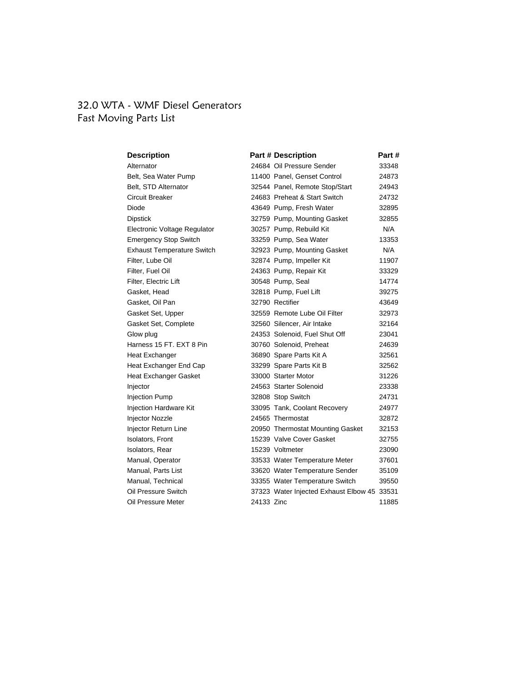## 32.0 WTA - WMF Diesel Generators Fast Moving Parts List

| <b>Description</b>                |            | <b>Part # Description</b>                   | Part # |
|-----------------------------------|------------|---------------------------------------------|--------|
| Alternator                        |            | 24684 Oil Pressure Sender                   | 33348  |
| Belt, Sea Water Pump              |            | 11400 Panel, Genset Control                 | 24873  |
| Belt, STD Alternator              |            | 32544 Panel, Remote Stop/Start              | 24943  |
| Circuit Breaker                   |            | 24683 Preheat & Start Switch                | 24732  |
| Diode                             |            | 43649 Pump, Fresh Water                     | 32895  |
| <b>Dipstick</b>                   |            | 32759 Pump, Mounting Gasket                 | 32855  |
| Electronic Voltage Regulator      |            | 30257 Pump, Rebuild Kit                     | N/A    |
| <b>Emergency Stop Switch</b>      |            | 33259 Pump, Sea Water                       | 13353  |
| <b>Exhaust Temperature Switch</b> |            | 32923 Pump, Mounting Gasket                 | N/A    |
| Filter, Lube Oil                  |            | 32874 Pump, Impeller Kit                    | 11907  |
| Filter, Fuel Oil                  |            | 24363 Pump, Repair Kit                      | 33329  |
| Filter, Electric Lift             |            | 30548 Pump, Seal                            | 14774  |
| Gasket, Head                      |            | 32818 Pump, Fuel Lift                       | 39275  |
| Gasket, Oil Pan                   |            | 32790 Rectifier                             | 43649  |
| Gasket Set, Upper                 |            | 32559 Remote Lube Oil Filter                | 32973  |
| Gasket Set, Complete              |            | 32560 Silencer, Air Intake                  | 32164  |
| Glow plug                         |            | 24353 Solenoid, Fuel Shut Off               | 23041  |
| Harness 15 FT, EXT 8 Pin          |            | 30760 Solenoid, Preheat                     | 24639  |
| Heat Exchanger                    |            | 36890 Spare Parts Kit A                     | 32561  |
| Heat Exchanger End Cap            |            | 33299 Spare Parts Kit B                     | 32562  |
| <b>Heat Exchanger Gasket</b>      |            | 33000 Starter Motor                         | 31226  |
| Injector                          |            | 24563 Starter Solenoid                      | 23338  |
| <b>Injection Pump</b>             |            | 32808 Stop Switch                           | 24731  |
| Injection Hardware Kit            |            | 33095 Tank, Coolant Recovery                | 24977  |
| Injector Nozzle                   |            | 24565 Thermostat                            | 32872  |
| Injector Return Line              |            | 20950 Thermostat Mounting Gasket            | 32153  |
| <b>Isolators, Front</b>           |            | 15239 Valve Cover Gasket                    | 32755  |
| Isolators, Rear                   |            | 15239 Voltmeter                             | 23090  |
| Manual, Operator                  |            | 33533 Water Temperature Meter               | 37601  |
| Manual, Parts List                |            | 33620 Water Temperature Sender              | 35109  |
| Manual, Technical                 |            | 33355 Water Temperature Switch              | 39550  |
| Oil Pressure Switch               |            | 37323 Water Injected Exhaust Elbow 45 33531 |        |
| Oil Pressure Meter                | 24133 Zinc |                                             | 11885  |